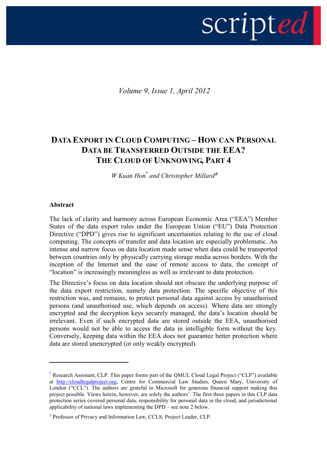# scripted |

*Volume 9, Issue 1, April 2012*

## **DATA EXPORT IN CLOUD COMPUTING – HOW CAN PERSONAL DATA BE TRANSFERRED OUTSIDE THE EEA? THE CLOUD OF UNKNOWING, PART 4**

*W Kuan Hon* \* *and Christopher Millard*

#### **Abstract**

1

The lack of clarity and harmony across European Economic Area ("EEA") Member States of the data export rules under the European Union ("EU") Data Protection Directive ("DPD") gives rise to significant uncertainties relating to the use of cloud computing. The concepts of transfer and data location are especially problematic. An intense and narrow focus on data location made sense when data could be transported between countries only by physically carrying storage media across borders. With the inception of the Internet and the ease of remote access to data, the concept of "location" is increasingly meaningless as well as irrelevant to data protection.

The Directive's focus on data location should not obscure the underlying purpose of the data export restriction, namely data protection. The specific objective of this restriction was, and remains, to protect personal data against access by unauthorised persons (and unauthorised use, which depends on access). Where data are strongly encrypted and the decryption keys securely managed, the data's location should be irrelevant. Even if such encrypted data are stored outside the EEA, unauthorised persons would not be able to access the data in intelligible form without the key. Conversely, keeping data within the EEA does not guarantee better protection where data are stored unencrypted (or only weakly encrypted).

<sup>\*</sup> Research Assistant, CLP. This paper forms part of the QMUL Cloud Legal Project ("CLP") available at [http://cloudlegalproject.org,](http://cloudlegalproject.org/) Centre for Commercial Law Studies, Queen Mary, University of London ("CCL"). The authors are grateful to Microsoft for generous financial support making this project possible. Views herein, however, are solely the authors'. The first three papers in this CLP data protection series covered personal data, responsibility for personal data in the cloud, and jurisdictional applicability of national laws implementing the  $DPD -$  see not[e 2](#page-2-0) below.

<sup>&</sup>lt;sup>±</sup> Professor of Privacy and Information Law, CCLS; Project Leader, CLP.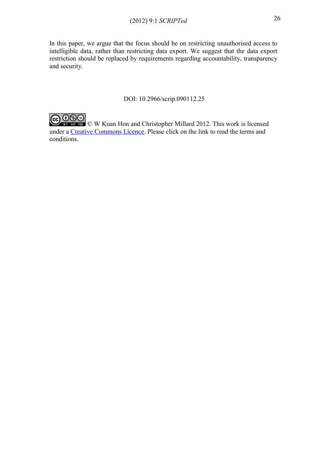In this paper, we argue that the focus should be on restricting unauthorised access to intelligible data, rather than restricting data export. We suggest that the data export restriction should be replaced by requirements regarding accountability, transparency and security.

#### DOI: 10.2966/scrip.090112.25

**CO OSS**<br>EXTERNS ON Kuan Hon and Christopher Millard 2012. This work is licensed under a [Creative Commons Licence.](http://creativecommons.org/licenses/by-nc-nd/2.5/scotland/) Please click on the link to read the terms and conditions.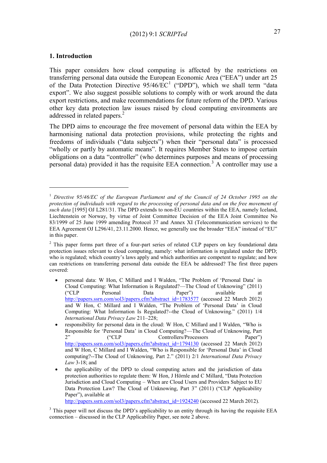#### <span id="page-2-2"></span>**1. Introduction**

1

<span id="page-2-1"></span>This paper considers how cloud computing is affected by the restrictions on transferring personal data outside the European Economic Area ("EEA") under art 25 of the Data Protection Directive  $95/46/\overline{EC}^1$  ("DPD"), which we shall term "data export". We also suggest possible solutions to comply with or work around the data export restrictions, and make recommendations for future reform of the DPD. Various other key data protection law issues raised by cloud computing environments are addressed in related papers.<sup>2</sup>

<span id="page-2-0"></span>The DPD aims to encourage the free movement of personal data within the EEA by harmonising national data protection provisions, while protecting the rights and freedoms of individuals ("data subjects") when their "personal data" is processed "wholly or partly by automatic means". It requires Member States to impose certain obligations on a data "controller" (who determines purposes and means of processing personal data) provided it has the requisite EEA connection.<sup>3</sup> A controller may use a

[http://papers.ssrn.com/sol3/papers.cfm?abstract\\_id=1924240](http://papers.ssrn.com/sol3/papers.cfm?abstract_id=1924240) (accessed 22 March 2012).

<sup>3</sup> This paper will not discuss the DPD's applicability to an entity through its having the requisite EEA connection – discussed in the CLP Applicability Paper, see note 2 above.

<sup>1</sup> *Directive 95/46/EC of the European Parliament and of the Council of 24 October 1995 on the protection of individuals with regard to the processing of personal data and on the free movement of such data* [1995] OJ L281/31. The DPD extends to non-EU countries within the EEA, namely Iceland, Liechtenstein or Norway, by virtue of Joint Committee Decision of the EEA Joint Committee No 83/1999 of 25 June 1999 amending Protocol 37 and Annex XI (Telecommunication services) to the EEA Agreement OJ L296/41, 23.11.2000. Hence, we generally use the broader "EEA" instead of "EU" in this paper.

<sup>&</sup>lt;sup>2</sup> This paper forms part three of a four-part series of related CLP papers on key foundational data protection issues relevant to cloud computing, namely: what information is regulated under the DPD; who is regulated; which country's laws apply and which authorities are competent to regulate; and how can restrictions on transferring personal data outside the EEA be addressed? The first three papers covered:

personal data: W Hon, C Millard and I Walden, "The Problem of 'Personal Data' in Cloud Computing: What Information is Regulated?—The Cloud of Unknowing" (2011) ("CLP Personal Data Paper") available at [http://papers.ssrn.com/sol3/papers.cfm?abstract\\_id=1783577](http://papers.ssrn.com/sol3/papers.cfm?abstract_id=1783577) (accessed 22 March 2012) and W Hon, C Millard and I Walden, "The Problem of 'Personal Data' in Cloud Computing: What Information Is Regulated?--the Cloud of Unknowing." (2011) 1/4 *International Data Privacy Law* 211–228;

responsibility for personal data in the cloud: W Hon, C Millard and I Walden, "Who is Responsible for 'Personal Data' in Cloud Computing?—The Cloud of Unknowing, Part 2" ("CLP Controllers/Processors Paper") [http://papers.ssrn.com/sol3/papers.cfm?abstract\\_id=1794130](http://papers.ssrn.com/sol3/papers.cfm?abstract_id=1794130) (accessed 22 March 2012) and W Hon, C Millard and I Walden, "Who is Responsible for 'Personal Data' in Cloud computing?--The Cloud of Unknowing, Part 2." (2011) 2/1 *International Data Privacy Law* 3-18; and

the applicability of the DPD to cloud computing actors and the jurisdiction of data protection authorities to regulate them: W Hon, J Hörnle and C Millard, "Data Protection Jurisdiction and Cloud Computing – When are Cloud Users and Providers Subject to EU Data Protection Law? The Cloud of Unknowing, Part 3" (2011) ("CLP Applicability Paper"), available at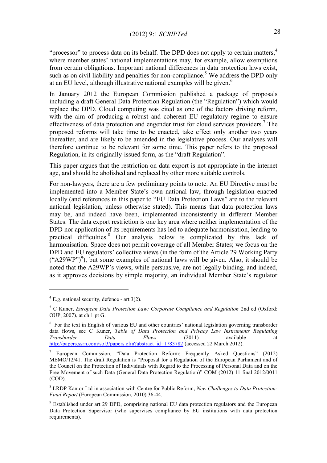"processor" to process data on its behalf. The DPD does not apply to certain matters,  $4\overline{4}$ where member states' national implementations may, for example, allow exemptions from certain obligations. Important national differences in data protection laws exist, such as on civil liability and penalties for non-compliance.<sup>5</sup> We address the DPD only at an EU level, although illustrative national examples will be given.<sup>6</sup>

<span id="page-3-1"></span>In January 2012 the European Commission published a package of proposals including a draft General Data Protection Regulation (the "Regulation") which would replace the DPD. Cloud computing was cited as one of the factors driving reform, with the aim of producing a robust and coherent EU regulatory regime to ensure effectiveness of data protection and engender trust for cloud services providers.<sup>7</sup> The proposed reforms will take time to be enacted, take effect only another two years thereafter, and are likely to be amended in the legislative process. Our analyses will therefore continue to be relevant for some time. This paper refers to the proposed Regulation, in its originally-issued form, as the "draft Regulation".

This paper argues that the restriction on data export is not appropriate in the internet age, and should be abolished and replaced by other more suitable controls.

<span id="page-3-0"></span>For non-lawyers, there are a few preliminary points to note. An EU Directive must be implemented into a Member State's own national law, through legislation enacted locally (and references in this paper to "EU Data Protection Laws" are to the relevant national legislation, unless otherwise stated). This means that data protection laws may be, and indeed have been, implemented inconsistently in different Member States. The data export restriction is one key area where neither implementation of the DPD nor application of its requirements has led to adequate harmonisation, leading to practical difficulties.<sup>8</sup> Our analysis below is complicated by this lack of harmonisation. Space does not permit coverage of all Member States; we focus on the DPD and EU regulators' collective views (in the form of the Article 29 Working Party  $("A29WP")^9$ , but some examples of national laws will be given. Also, it should be noted that the A29WP's views, while persuasive, are not legally binding, and indeed, as it approves decisions by simple majority, an individual Member State's regulator

 $4$  E.g. national security, defence - art 3(2).

<sup>5</sup> C Kuner, *European Data Protection Law: Corporate Compliance and Regulation* 2nd ed (Oxford: OUP, 2007), at ch 1 pt G.

<sup>&</sup>lt;sup>6</sup> For the text in English of various EU and other countries' national legislation governing transborder data flows, see C Kuner, *Table of Data Protection and Privacy Law Instruments Regulating Transborder Data Flows* (2011) available at [http://papers.ssrn.com/sol3/papers.cfm?abstract\\_id=1783782](http://papers.ssrn.com/sol3/papers.cfm?abstract_id=1783782) (accessed 22 March 2012).

<sup>7</sup> European Commission, "Data Protection Reform: Frequently Asked Questions" (2012) MEMO/12/41. The draft Regulation is "Proposal for a Regulation of the European Parliament and of the Council on the Protection of Individuals with Regard to the Processing of Personal Data and on the Free Movement of such Data (General Data Protection Regulation)" COM (2012) 11 final 2012/0011 (COD).

<sup>8</sup> LRDP Kantor Ltd in association with Centre for Public Reform, *New Challenges to Data Protection-Final Report* (European Commission, 2010) 36-44.

<sup>9</sup> Established under art 29 DPD, comprising national EU data protection regulators and the European Data Protection Supervisor (who supervises compliance by EU institutions with data protection requirements).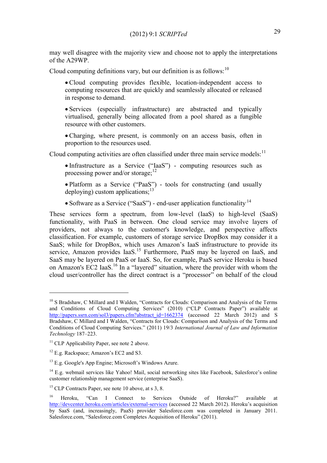may well disagree with the majority view and choose not to apply the interpretations of the A29WP.

Cloud computing definitions vary, but our definition is as follows:<sup>10</sup>

<span id="page-4-0"></span> Cloud computing provides flexible, location-independent access to computing resources that are quickly and seamlessly allocated or released in response to demand.

 Services (especially infrastructure) are abstracted and typically virtualised, generally being allocated from a pool shared as a fungible resource with other customers.

 Charging, where present, is commonly on an access basis, often in proportion to the resources used.

Cloud computing activities are often classified under three main service models: $<sup>11</sup>$ </sup>

 Infrastructure as a Service ("IaaS") - computing resources such as processing power and/or storage;<sup>12</sup>

 Platform as a Service ("PaaS") - tools for constructing (and usually deploying) custom applications;<sup>1</sup>

Software as a Service ("SaaS") - end-user application functionality.14

These services form a spectrum, from low-level (IaaS) to high-level (SaaS) functionality, with PaaS in between. One cloud service may involve layers of providers, not always to the customer's knowledge, and perspective affects classification. For example, customers of storage service DropBox may consider it a SaaS; while for DropBox, which uses Amazon's IaaS infrastructure to provide its service, Amazon provides IaaS.<sup>15</sup> Furthermore, PaaS may be layered on IaaS, and SaaS may be layered on PaaS or IaaS. So, for example, PaaS service Heroku is based on Amazon's EC2 IaaS.<sup>16</sup> In a "layered" situation, where the provider with whom the cloud user/controller has the direct contract is a "processor" on behalf of the cloud

1

<sup>15</sup> CLP Contracts Paper, see note [10](#page-4-0) above, at s 3, 8.

<sup>&</sup>lt;sup>10</sup> S Bradshaw, C Millard and I Walden, "Contracts for Clouds: Comparison and Analysis of the Terms and Conditions of Cloud Computing Services" (2010) ("CLP Contracts Paper") available at [http://papers.ssrn.com/sol3/papers.cfm?abstract\\_id=1662374](http://papers.ssrn.com/sol3/papers.cfm?abstract_id=1662374) (accessed 22 March 2012) and S Bradshaw, C Millard and I Walden, "Contracts for Clouds: Comparison and Analysis of the Terms and Conditions of Cloud Computing Services." (2011) 19/3 *International Journal of Law and Information Technology* 187–223.

<sup>&</sup>lt;sup>11</sup> CLP Applicability Paper, see note [2](#page-2-0) above.

<sup>&</sup>lt;sup>12</sup> E.g. Rackspace; Amazon's EC2 and S3.

<sup>&</sup>lt;sup>13</sup> E.g. Google's App Engine; Microsoft's Windows Azure.

<sup>&</sup>lt;sup>14</sup> E.g. webmail services like Yahoo! Mail, social networking sites like Facebook, Salesforce's online customer relationship management service (enterprise SaaS).

<sup>16</sup> Heroku, "Can I Connect to Services Outside of Heroku?" available at <http://devcenter.heroku.com/articles/external-services> (accessed 22 March 2012). Heroku's acquisition by SaaS (and, increasingly, PaaS) provider Salesforce.com was completed in January 2011. Salesforce.com, "Salesforce.com Completes Acquisition of Heroku" (2011).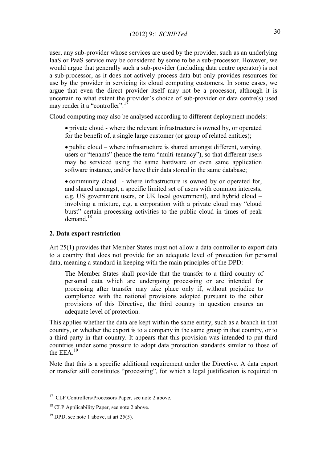<span id="page-5-0"></span>user, any sub-provider whose services are used by the provider, such as an underlying IaaS or PaaS service may be considered by some to be a sub-processor. However, we would argue that generally such a sub-provider (including data centre operator) is not a sub-processor, as it does not actively process data but only provides resources for use by the provider in servicing its cloud computing customers. In some cases, we argue that even the direct provider itself may not be a processor, although it is uncertain to what extent the provider's choice of sub-provider or data centre(s) used may render it a "controller".<sup>1</sup>

Cloud computing may also be analysed according to different deployment models:

 private cloud - where the relevant infrastructure is owned by, or operated for the benefit of, a single large customer (or group of related entities);

 public cloud – where infrastructure is shared amongst different, varying, users or "tenants" (hence the term "multi-tenancy"), so that different users may be serviced using the same hardware or even same application software instance, and/or have their data stored in the same database;

• community cloud - where infrastructure is owned by or operated for, and shared amongst, a specific limited set of users with common interests, e.g. US government users, or UK local government), and hybrid cloud – involving a mixture, e.g. a corporation with a private cloud may "cloud burst" certain processing activities to the public cloud in times of peak demand<sup>18</sup>

#### **2. Data export restriction**

Art 25(1) provides that Member States must not allow a data controller to export data to a country that does not provide for an adequate level of protection for personal data, meaning a standard in keeping with the main principles of the DPD:

The Member States shall provide that the transfer to a third country of personal data which are undergoing processing or are intended for processing after transfer may take place only if, without prejudice to compliance with the national provisions adopted pursuant to the other provisions of this Directive, the third country in question ensures an adequate level of protection.

This applies whether the data are kept within the same entity, such as a branch in that country, or whether the export is to a company in the same group in that country, or to a third party in that country. It appears that this provision was intended to put third countries under some pressure to adopt data protection standards similar to those of the EEA $19$ 

Note that this is a specific additional requirement under the Directive. A data export or transfer still constitutes "processing", for which a legal justification is required in

<u>.</u>

<sup>&</sup>lt;sup>17</sup> CLP Controllers/Processors Paper, see note [2](#page-2-0) above.

<sup>&</sup>lt;sup>18</sup> CLP Applicability Paper, see note [2](#page-2-0) above.

 $19$  DPD, see note [1](#page-2-1) above, at art 25(5).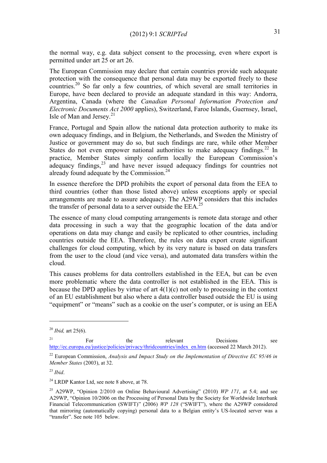the normal way, e.g. data subject consent to the processing, even where export is permitted under art 25 or art 26.

<span id="page-6-2"></span>The European Commission may declare that certain countries provide such adequate protection with the consequence that personal data may be exported freely to these countries.<sup>20</sup> So far only a few countries, of which several are small territories in Europe, have been declared to provide an adequate standard in this way: Andorra, Argentina, Canada (where the *Canadian Personal Information Protection and Electronic Documents Act 2000* applies), Switzerland, Faroe Islands, Guernsey, Israel, Isle of Man and Jersey. $2<sup>1</sup>$ 

<span id="page-6-1"></span>France, Portugal and Spain allow the national data protection authority to make its own adequacy findings, and in Belgium, the Netherlands, and Sweden the Ministry of Justice or government may do so, but such findings are rare, while other Member States do not even empower national authorities to make adequacy findings.<sup>22</sup> In practice, Member States simply confirm locally the European Commission's adequacy findings, $23$  and have never issued adequacy findings for countries not already found adequate by the Commission.<sup>24</sup>

In essence therefore the DPD prohibits the export of personal data from the EEA to third countries (other than those listed above) unless exceptions apply or special arrangements are made to assure adequacy. The A29WP considers that this includes the transfer of personal data to a server outside the EEA.<sup>25</sup>

<span id="page-6-0"></span>The essence of many cloud computing arrangements is remote data storage and other data processing in such a way that the geographic location of the data and/or operations on data may change and easily be replicated to other countries, including countries outside the EEA. Therefore, the rules on data export create significant challenges for cloud computing, which by its very nature is based on data transfers from the user to the cloud (and vice versa), and automated data transfers within the cloud.

This causes problems for data controllers established in the EEA, but can be even more problematic where the data controller is not established in the EEA. This is because the DPD applies by virtue of art  $4(1)(c)$  not only to processing in the context of an EU establishment but also where a data controller based outside the EU is using "equipment" or "means" such as a cookie on the user's computer, or is using an EEA

<sup>21</sup> For the relevant Decisions see [http://ec.europa.eu/justice/policies/privacy/thridcountries/index\\_en.htm](http://ec.europa.eu/justice/policies/privacy/thridcountries/index_en.htm) (accessed 22 March 2012).

<u>.</u>

<sup>20</sup> *Ibid,* art 25(6).

<sup>&</sup>lt;sup>22</sup> European Commission, *Analysis and Impact Study on the Implementation of Directive EC 95/46 in Member States* (2003), at 32.

<sup>23</sup> *Ibid*.

<sup>24</sup> LRDP Kantor Ltd, see note [8](#page-3-0) above, at 78.

<sup>25</sup> A29WP, "Opinion 2/2010 on Online Behavioural Advertising" (2010) *WP 171*, at 5.4; and see A29WP, "Opinion 10/2006 on the Processing of Personal Data by the Society for Worldwide Interbank Financial Telecommunication (SWIFT)" (2006) *WP 128* ("SWIFT"), where the A29WP considered that mirroring (automatically copying) personal data to a Belgian entity's US-located server was a "transfer". See note [105](#page-25-0) below.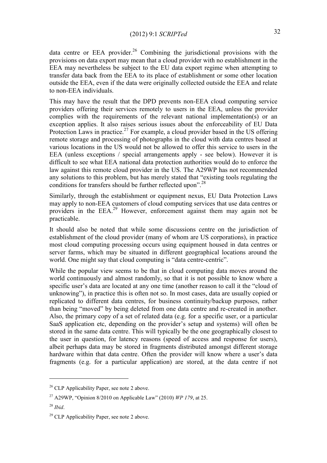data centre or EEA provider.<sup>26</sup> Combining the jurisdictional provisions with the provisions on data export may mean that a cloud provider with no establishment in the EEA may nevertheless be subject to the EU data export regime when attempting to transfer data back from the EEA to its place of establishment or some other location outside the EEA, even if the data were originally collected outside the EEA and relate to non-EEA individuals.

This may have the result that the DPD prevents non-EEA cloud computing service providers offering their services remotely to users in the EEA, unless the provider complies with the requirements of the relevant national implementation(s) or an exception applies. It also raises serious issues about the enforceability of EU Data Protection Laws in practice.<sup>27</sup> For example, a cloud provider based in the US offering remote storage and processing of photographs in the cloud with data centres based at various locations in the US would not be allowed to offer this service to users in the EEA (unless exceptions / special arrangements apply - see below). However it is difficult to see what EEA national data protection authorities would do to enforce the law against this remote cloud provider in the US. The A29WP has not recommended any solutions to this problem, but has merely stated that "existing tools regulating the conditions for transfers should be further reflected upon".<sup>28</sup>

Similarly, through the establishment or equipment nexus, EU Data Protection Laws may apply to non-EEA customers of cloud computing services that use data centres or providers in the EEA.<sup>29</sup> However, enforcement against them may again not be practicable.

It should also be noted that while some discussions centre on the jurisdiction of establishment of the cloud provider (many of whom are US corporations), in practice most cloud computing processing occurs using equipment housed in data centres or server farms, which may be situated in different geographical locations around the world. One might say that cloud computing is "data centre-centric".

While the popular view seems to be that in cloud computing data moves around the world continuously and almost randomly, so that it is not possible to know where a specific user's data are located at any one time (another reason to call it the "cloud of unknowing"), in practice this is often not so. In most cases, data are usually copied or replicated to different data centres, for business continuity/backup purposes, rather than being "moved" by being deleted from one data centre and re-created in another. Also, the primary copy of a set of related data (e.g. for a specific user, or a particular SaaS application etc, depending on the provider's setup and systems) will often be stored in the same data centre. This will typically be the one geographically closest to the user in question, for latency reasons (speed of access and response for users), albeit perhaps data may be stored in fragments distributed amongst different storage hardware within that data centre. Often the provider will know where a user's data fragments (e.g. for a particular application) are stored, at the data centre if not

<sup>&</sup>lt;sup>26</sup> CLP Applicability Paper, see note [2](#page-2-0) above.

<sup>27</sup> A29WP, "Opinion 8/2010 on Applicable Law" (2010) *WP 179*, at 25.

<sup>28</sup> *Ibid*.

 $29$  CLP Applicability Paper, see note [2](#page-2-0) above.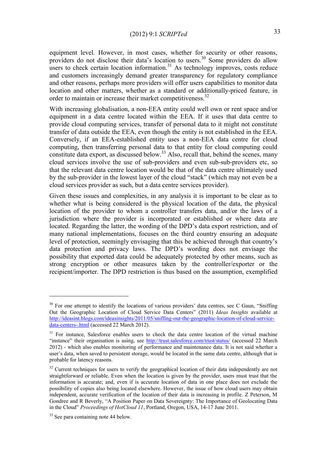equipment level. However, in most cases, whether for security or other reasons, providers do not disclose their data's location to users.<sup>30</sup> Some providers do allow users to check certain location information. $31$  As technology improves, costs reduce and customers increasingly demand greater transparency for regulatory compliance and other reasons, perhaps more providers will offer users capabilities to monitor data location and other matters, whether as a standard or additionally-priced feature, in order to maintain or increase their market competitiveness.<sup>32</sup>

With increasing globalisation, a non-EEA entity could well own or rent space and/or equipment in a data centre located within the EEA. If it uses that data centre to provide cloud computing services, transfer of personal data to it might not constitute transfer of data outside the EEA, even though the entity is not established in the EEA. Conversely, if an EEA-established entity uses a non-EEA data centre for cloud computing, then transferring personal data to that entity for cloud computing could constitute data export, as discussed below.<sup>33</sup> Also, recall that, behind the scenes, many cloud services involve the use of sub-providers and even sub-sub-providers etc, so that the relevant data centre location would be that of the data centre ultimately used by the sub-provider in the lowest layer of the cloud "stack" (which may not even be a cloud services provider as such, but a data centre services provider).

Given these issues and complexities, in any analysis it is important to be clear as to whether what is being considered is the physical location of the data, the physical location of the provider to whom a controller transfers data, and/or the laws of a jurisdiction where the provider is incorporated or established or where data are located. Regarding the latter, the wording of the DPD's data export restriction, and of many national implementations, focuses on the third country ensuring an adequate level of protection, seemingly envisaging that this be achieved through that country's data protection and privacy laws. The DPD's wording does not envisage the possibility that exported data could be adequately protected by other means, such as strong encryption or other measures taken by the controller/exporter or the recipient/importer. The DPD restriction is thus based on the assumption, exemplified

<sup>&</sup>lt;sup>30</sup> For one attempt to identify the locations of various providers' data centres, see C Gaun, "Sniffing Out the Geographic Location of Cloud Service Data Centers" (2011) *Ideas Insights* available at [http://ideasint.blogs.com/ideasinsights/2011/05/sniffing-out-the-geographic-location-of-cloud-service](http://ideasint.blogs.com/ideasinsights/2011/05/sniffing-out-the-geographic-location-of-cloud-service-data-centers-.html)[data-centers-.html](http://ideasint.blogs.com/ideasinsights/2011/05/sniffing-out-the-geographic-location-of-cloud-service-data-centers-.html) (accessed 22 March 2012).

<sup>&</sup>lt;sup>31</sup> For instance, Salesforce enables users to check the data centre location of the virtual machine "instance" their organisation is using, see <http://trust.salesforce.com/trust/status/> (accessed 22 March 2012) - which also enables monitoring of performance and maintenance data. It is not said whether a user's data, when saved to persistent storage, would be located in the same data centre, although that is probable for latency reasons.

 $32$  Current techniques for users to verify the geographical location of their data independently are not straightforward or reliable. Even when the location is given by the provider, users must trust that the information is accurate; and, even if is accurate location of data in one place does not exclude the possibility of copies also being located elsewhere. However, the issue of how cloud users may obtain independent, accurate verification of the location of their data is increasing in profile. Z Peterson, M Gondree and R Beverly, "A Position Paper on Data Sovereignty: The Importance of Geolocating Data in the Cloud" *Proceedings of HotCloud 11*, Portland, Oregon, USA, 14-17 June 2011.

<sup>&</sup>lt;sup>33</sup> See para containing note [44](#page-11-0) below.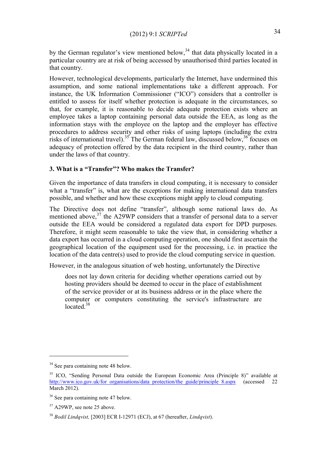by the German regulator's view mentioned below,<sup>34</sup> that data physically located in a particular country are at risk of being accessed by unauthorised third parties located in that country.

However, technological developments, particularly the Internet, have undermined this assumption, and some national implementations take a different approach. For instance, the UK Information Commissioner ("ICO") considers that a controller is entitled to assess for itself whether protection is adequate in the circumstances, so that, for example, it is reasonable to decide adequate protection exists where an employee takes a laptop containing personal data outside the EEA, as long as the information stays with the employee on the laptop and the employer has effective procedures to address security and other risks of using laptops (including the extra risks of international travel).<sup>35</sup> The German federal law, discussed below,<sup>36</sup> focuses on adequacy of protection offered by the data recipient in the third country, rather than under the laws of that country.

### <span id="page-9-1"></span>**3. What is a "Transfer"? Who makes the Transfer?**

Given the importance of data transfers in cloud computing, it is necessary to consider what a "transfer" is, what are the exceptions for making international data transfers possible, and whether and how these exceptions might apply to cloud computing.

The Directive does not define "transfer", although some national laws do. As mentioned above,<sup>37</sup> the A29WP considers that a transfer of personal data to a server outside the EEA would be considered a regulated data export for DPD purposes. Therefore, it might seem reasonable to take the view that, in considering whether a data export has occurred in a cloud computing operation, one should first ascertain the geographical location of the equipment used for the processing, i.e. in practice the location of the data centre(s) used to provide the cloud computing service in question.

However, in the analogous situation of web hosting, unfortunately the Directive

<span id="page-9-0"></span>does not lay down criteria for deciding whether operations carried out by hosting providers should be deemed to occur in the place of establishment of the service provider or at its business address or in the place where the computer or computers constituting the service's infrastructure are located  $38$ 

<sup>&</sup>lt;sup>34</sup> See para containing note [48](#page-12-0) below.

<sup>&</sup>lt;sup>35</sup> ICO, "Sending Personal Data outside the European Economic Area (Principle 8)" available at [http://www.ico.gov.uk/for\\_organisations/data\\_protection/the\\_guide/principle\\_8.aspx](http://www.ico.gov.uk/for_organisations/data_protection/the_guide/principle_8.aspx) (accessed 22 March 2012).

<sup>36</sup> See para containing note [47](#page-11-1) below.

 $37$  A29WP, see note [25](#page-6-0) above.

<sup>38</sup> *Bodil Lindqvist,* [2003] ECR I-12971 (ECJ), at 67 (hereafter, *Lindqvist*).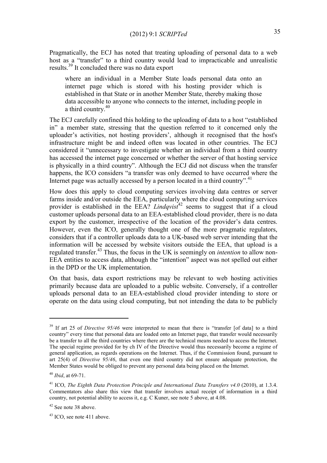Pragmatically, the ECJ has noted that treating uploading of personal data to a web host as a "transfer" to a third country would lead to impracticable and unrealistic results.<sup>39</sup> It concluded there was no data export

where an individual in a Member State loads personal data onto an internet page which is stored with his hosting provider which is established in that State or in another Member State, thereby making those data accessible to anyone who connects to the internet, including people in a third country.<sup>40</sup>

The ECJ carefully confined this holding to the uploading of data to a host "established in" a member state, stressing that the question referred to it concerned only the uploader's activities, not hosting providers', although it recognised that the host's infrastructure might be and indeed often was located in other countries. The ECJ considered it "unnecessary to investigate whether an individual from a third country has accessed the internet page concerned or whether the server of that hosting service is physically in a third country". Although the ECJ did not discuss when the transfer happens, the ICO considers "a transfer was only deemed to have occurred where the Internet page was actually accessed by a person located in a third country".<sup>41</sup>

<span id="page-10-0"></span>How does this apply to cloud computing services involving data centres or server farms inside and/or outside the EEA, particularly where the cloud computing services provider is established in the EEA?  $Lindqvis\dot{t}^{42}$  seems to suggest that if a cloud customer uploads personal data to an EEA-established cloud provider, there is no data export by the customer, irrespective of the location of the provider's data centres. However, even the ICO, generally thought one of the more pragmatic regulators, considers that if a controller uploads data to a UK-based web server intending that the information will be accessed by website visitors outside the EEA, that upload is a regulated transfer.<sup>43</sup> Thus, the focus in the UK is seemingly on *intention* to allow non-EEA entities to access data, although the "intention" aspect was not spelled out either in the DPD or the UK implementation.

On that basis, data export restrictions may be relevant to web hosting activities primarily because data are uploaded to a public website. Conversely, if a controller uploads personal data to an EEA-established cloud provider intending to store or operate on the data using cloud computing, but not intending the data to be publicly

<sup>&</sup>lt;sup>39</sup> If art 25 of *Directive* 95/46 were interpreted to mean that there is "transfer [of data] to a third country" every time that personal data are loaded onto an Internet page, that transfer would necessarily be a transfer to all the third countries where there are the technical means needed to access the Internet. The special regime provided for by ch IV of the Directive would thus necessarily become a regime of general application, as regards operations on the Internet. Thus, if the Commission found, pursuant to art 25(4) of *Directive 95/46*, that even one third country did not ensure adequate protection, the Member States would be obliged to prevent any personal data being placed on the Internet.

<sup>40</sup> *Ibid*, at 69-71.

<sup>41</sup> ICO, *The Eighth Data Protection Principle and International Data Transfers v4.0* (2010), at 1.3.4. Commentators also share this view that transfer involves actual receipt of information in a third country, not potential ability to access it, e.g. C Kuner, see note [5](#page-3-1) above, at 4.08.

<sup>42</sup> See note [38](#page-9-0) above.

<sup>&</sup>lt;sup>43</sup> ICO, see note [411](#page-10-0) above.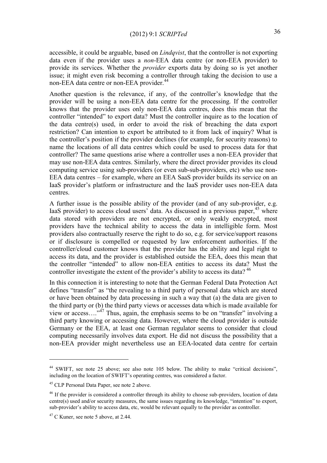<span id="page-11-3"></span>accessible, it could be arguable, based on *Lindqvist*, that the controller is not exporting data even if the provider uses a *non*-EEA data centre (or non-EEA provider) to provide its services. Whether the *provider* exports data by doing so is yet another issue; it might even risk becoming a controller through taking the decision to use a non-EEA data centre or non-EEA provider.<sup>44</sup>

<span id="page-11-0"></span>Another question is the relevance, if any, of the controller's knowledge that the provider will be using a non-EEA data centre for the processing. If the controller knows that the provider uses only non-EEA data centres, does this mean that the controller "intended" to export data? Must the controller inquire as to the location of the data centre(s) used, in order to avoid the risk of breaching the data export restriction? Can intention to export be attributed to it from lack of inquiry? What is the controller's position if the provider declines (for example, for security reasons) to name the locations of all data centres which could be used to process data for that controller? The same questions arise where a controller uses a non-EEA provider that may use non-EEA data centres. Similarly, where the direct provider provides its cloud computing service using sub-providers (or even sub-sub-providers, etc) who use non-EEA data centres – for example, where an EEA SaaS provider builds its service on an IaaS provider's platform or infrastructure and the IaaS provider uses non-EEA data centres.

<span id="page-11-2"></span>A further issue is the possible ability of the provider (and of any sub-provider, e.g. IaaS provider) to access cloud users' data. As discussed in a previous paper, <sup>45</sup> where data stored with providers are not encrypted, or only weakly encrypted, most providers have the technical ability to access the data in intelligible form. Most providers also contractually reserve the right to do so, e.g. for service/support reasons or if disclosure is compelled or requested by law enforcement authorities. If the controller/cloud customer knows that the provider has the ability and legal right to access its data, and the provider is established outside the EEA, does this mean that the controller "intended" to allow non-EEA entities to access its data? Must the controller investigate the extent of the provider's ability to access its data? <sup>46</sup>

<span id="page-11-1"></span>In this connection it is interesting to note that the German Federal Data Protection Act defines "transfer" as "the revealing to a third party of personal data which are stored or have been obtained by data processing in such a way that (a) the data are given to the third party or (b) the third party views or accesses data which is made available for view or access....<sup>"47</sup> Thus, again, the emphasis seems to be on "transfer" involving a third party knowing or accessing data. However, where the cloud provider is outside Germany or the EEA, at least one German regulator seems to consider that cloud computing necessarily involves data export. He did not discuss the possibility that a non-EEA provider might nevertheless use an EEA-located data centre for certain

<sup>&</sup>lt;sup>44</sup> SWIFT, see note [25](#page-6-0) above; see also note [105](#page-25-0) below. The ability to make "critical decisions", including on the location of SWIFT's operating centres, was considered a factor.

<sup>45</sup> CLP Personal Data Paper, see note [2](#page-2-0) above.

<sup>&</sup>lt;sup>46</sup> If the provider is considered a controller through its ability to choose sub-providers, location of data centre(s) used and/or security measures, the same issues regarding its knowledge, "intention" to export, sub-provider's ability to access data, etc, would be relevant equally to the provider as controller.

 $47$  C Kuner, see note [5](#page-3-1) above, at 2.44.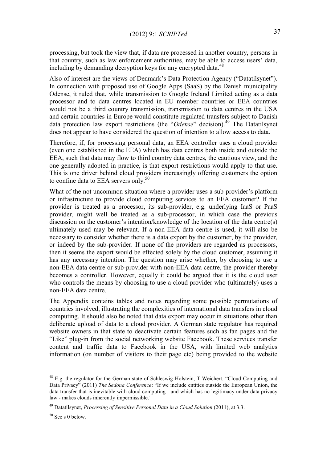<span id="page-12-0"></span>processing, but took the view that, if data are processed in another country, persons in that country, such as law enforcement authorities, may be able to access users' data, including by demanding decryption keys for any encrypted data.<sup>48</sup>

Also of interest are the views of Denmark's Data Protection Agency ("Datatilsynet"). In connection with proposed use of Google Apps (SaaS) by the Danish municipality Odense, it ruled that, while transmission to Google Ireland Limited acting as a data processor and to data centres located in EU member countries or EEA countries would not be a third country transmission, transmission to data centres in the USA and certain countries in Europe would constitute regulated transfers subject to Danish data protection law export restrictions (the "*Odense*" decision).<sup>49</sup> The Datatilsynet does not appear to have considered the question of intention to allow access to data.

<span id="page-12-2"></span>Therefore, if, for processing personal data, an EEA controller uses a cloud provider (even one established in the EEA) which has data centres both inside and outside the EEA, such that data may flow to third country data centres, the cautious view, and the one generally adopted in practice, is that export restrictions would apply to that use. This is one driver behind cloud providers increasingly offering customers the option to confine data to EEA servers only.<sup>50</sup>

<span id="page-12-1"></span>What of the not uncommon situation where a provider uses a sub-provider's platform or infrastructure to provide cloud computing services to an EEA customer? If the provider is treated as a processor, its sub-provider, e.g. underlying IaaS or PaaS provider, might well be treated as a sub-processor, in which case the previous discussion on the customer's intention/knowledge of the location of the data centre(s) ultimately used may be relevant. If a non-EEA data centre is used, it will also be necessary to consider whether there is a data export by the customer, by the provider, or indeed by the sub-provider. If none of the providers are regarded as processors, then it seems the export would be effected solely by the cloud customer, assuming it has any necessary intention. The question may arise whether, by choosing to use a non-EEA data centre or sub-provider with non-EEA data centre, the provider thereby becomes a controller. However, equally it could be argued that it is the cloud user who controls the means by choosing to use a cloud provider who (ultimately) uses a non-EEA data centre.

The Appendix contains tables and notes regarding some possible permutations of countries involved, illustrating the complexities of international data transfers in cloud computing. It should also be noted that data export may occur in situations other than deliberate upload of data to a cloud provider. A German state regulator has required website owners in that state to deactivate certain features such as fan pages and the "Like" plug-in from the social networking website Facebook. These services transfer content and traffic data to Facebook in the USA, with limited web analytics information (on number of visitors to their page etc) being provided to the website

<sup>&</sup>lt;sup>48</sup> E.g. the regulator for the German state of Schleswig-Holstein, T Weichert, "Cloud Computing and Data Privacy" (2011) *The Sedona Conference*: "If we include entities outside the European Union, the data transfer that is inevitable with cloud computing - and which has no legitimacy under data privacy law - makes clouds inherently impermissible."

<sup>49</sup> Datatilsynet, *Processing of Sensitive Personal Data in a Cloud Solution* (2011), at 3.3.

 $50$  See s [0](#page-26-0) below.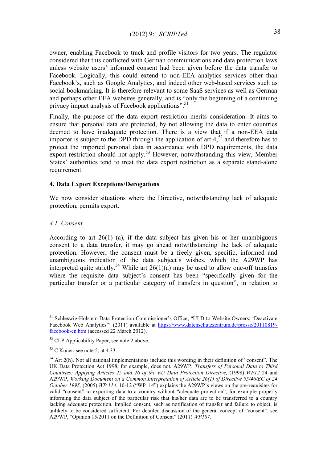owner, enabling Facebook to track and profile visitors for two years. The regulator considered that this conflicted with German communications and data protection laws unless website users' informed consent had been given before the data transfer to Facebook. Logically, this could extend to non-EEA analytics services other than Facebook's, such as Google Analytics, and indeed other web-based services such as social bookmarking. It is therefore relevant to some SaaS services as well as German and perhaps other EEA websites generally, and is "only the beginning of a continuing privacy impact analysis of Facebook applications".<sup>51</sup>

Finally, the purpose of the data export restriction merits consideration. It aims to ensure that personal data are protected, by not allowing the data to enter countries deemed to have inadequate protection. There is a view that if a non-EEA data importer is subject to the DPD through the application of art  $4<sup>52</sup>$  and therefore has to protect the imported personal data in accordance with DPD requirements, the data export restriction should not apply.<sup>53</sup> However, notwithstanding this view, Member States' authorities tend to treat the data export restriction as a separate stand-alone requirement.

#### **4. Data Export Exceptions/Derogations**

We now consider situations where the Directive, notwithstanding lack of adequate protection, permits export.

#### *4.1. Consent*

<u>.</u>

<span id="page-13-0"></span>According to art 26(1) (a), if the data subject has given his or her unambiguous consent to a data transfer, it may go ahead notwithstanding the lack of adequate protection. However, the consent must be a freely given, specific, informed and unambiguous indication of the data subject's wishes, which the A29WP has interpreted quite strictly.<sup>54</sup> While art  $26(1)(a)$  may be used to allow one-off transfers where the requisite data subject's consent has been "specifically given for the particular transfer or a particular category of transfers in question", in relation to

<sup>51</sup> Schleswig-Holstein Data Protection Commissioner's Office, "ULD to Website Owners: 'Deactivate Facebook Web Analytics"' (2011) available at [https://www.datenschutzzentrum.de/presse/20110819](https://www.datenschutzzentrum.de/presse/20110819-facebook-en.htm) [facebook-en.htm](https://www.datenschutzzentrum.de/presse/20110819-facebook-en.htm) (accessed 22 March 2012).

<sup>52</sup> CLP Applicability Paper, see note [2](#page-2-0) above.

 $53$  C Kuner, see note [5,](#page-3-1) at 4.33.

<sup>&</sup>lt;sup>54</sup> Art 2(h). Not all national implementations include this wording in their definition of "consent". The UK Data Protection Act 1998, for example, does not. A29WP, *Transfers of Personal Data to Third Countries: Applying Articles 25 and 26 of the EU Data Protection Directive,* (1998) *WP12* 24 and A29WP, *Working Document on a Common Interpretation of Article 26(1) of Directive 95/46/EC of 24 October 1995,* (2005) *WP 114*, 10-12 ("WP114") explains the A29WP's views on the pre-requisites for valid "consent" to exporting data to a country without "adequate protection", for example properly informing the data subject of the particular risk that his/her data are to be transferred to a country lacking adequate protection. Implied consent, such as notification of transfer and failure to object, is unlikely to be considered sufficient. For detailed discussion of the general concept of "consent", see A29WP, "Opinion 15/2011 on the Definition of Consent" (2011) *WP187*.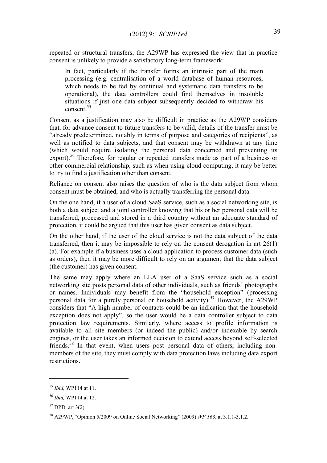repeated or structural transfers, the A29WP has expressed the view that in practice consent is unlikely to provide a satisfactory long-term framework:

In fact, particularly if the transfer forms an intrinsic part of the main processing (e.g. centralisation of a world database of human resources, which needs to be fed by continual and systematic data transfers to be operational), the data controllers could find themselves in insoluble situations if just one data subject subsequently decided to withdraw his consent.<sup>55</sup>

Consent as a justification may also be difficult in practice as the A29WP considers that, for advance consent to future transfers to be valid, details of the transfer must be "already predetermined, notably in terms of purpose and categories of recipients", as well as notified to data subjects, and that consent may be withdrawn at any time (which would require isolating the personal data concerned and preventing its export).<sup>56</sup> Therefore, for regular or repeated transfers made as part of a business or other commercial relationship, such as when using cloud computing, it may be better to try to find a justification other than consent.

Reliance on consent also raises the question of who is the data subject from whom consent must be obtained, and who is actually transferring the personal data.

On the one hand, if a user of a cloud SaaS service, such as a social networking site, is both a data subject and a joint controller knowing that his or her personal data will be transferred, processed and stored in a third country without an adequate standard of protection, it could be argued that this user has given consent as data subject.

On the other hand, if the user of the cloud service is not the data subject of the data transferred, then it may be impossible to rely on the consent derogation in art 26(1) (a). For example if a business uses a cloud application to process customer data (such as orders), then it may be more difficult to rely on an argument that the data subject (the customer) has given consent.

The same may apply where an EEA user of a SaaS service such as a social networking site posts personal data of other individuals, such as friends' photographs or names. Individuals may benefit from the "household exception" (processing personal data for a purely personal or household activity).<sup>57</sup> However, the A29WP considers that "A high number of contacts could be an indication that the household exception does not apply", so the user would be a data controller subject to data protection law requirements. Similarly, where access to profile information is available to all site members (or indeed the public) and/or indexable by search engines, or the user takes an informed decision to extend access beyond self-selected friends.<sup>58</sup> In that event, when users post personal data of others, including nonmembers of the site, they must comply with data protection laws including data export restrictions.

<sup>55</sup> *Ibid,* WP114 at 11.

<sup>56</sup> *Ibid,* WP114 at 12.

 $57$  DPD, art 3(2).

<sup>58</sup> A29WP, "Opinion 5/2009 on Online Social Networking" (2009) *WP 163*, at 3.1.1-3.1.2.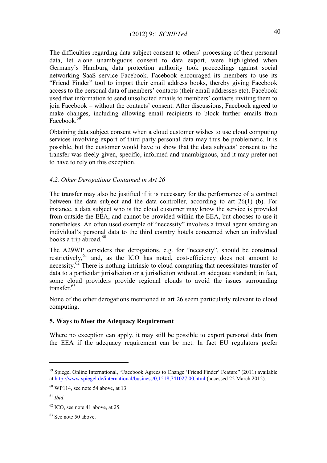The difficulties regarding data subject consent to others' processing of their personal data, let alone unambiguous consent to data export, were highlighted when Germany's Hamburg data protection authority took proceedings against social networking SaaS service Facebook. Facebook encouraged its members to use its "Friend Finder" tool to import their email address books, thereby giving Facebook access to the personal data of members' contacts (their email addresses etc). Facebook used that information to send unsolicited emails to members' contacts inviting them to join Facebook – without the contacts' consent. After discussions, Facebook agreed to make changes, including allowing email recipients to block further emails from Facebook<sup>59</sup>

Obtaining data subject consent when a cloud customer wishes to use cloud computing services involving export of third party personal data may thus be problematic. It is possible, but the customer would have to show that the data subjects' consent to the transfer was freely given, specific, informed and unambiguous, and it may prefer not to have to rely on this exception.

#### *4.2. Other Derogations Contained in Art 26*

The transfer may also be justified if it is necessary for the performance of a contract between the data subject and the data controller, according to art 26(1) (b). For instance, a data subject who is the cloud customer may know the service is provided from outside the EEA, and cannot be provided within the EEA, but chooses to use it nonetheless. An often used example of "necessity" involves a travel agent sending an individual's personal data to the third country hotels concerned when an individual books a trip abroad. $60$ 

The A29WP considers that derogations, e.g. for "necessity", should be construed restrictively,<sup>61</sup> and, as the ICO has noted, cost-efficiency does not amount to necessity.<sup>62</sup> There is nothing intrinsic to cloud computing that necessitates transfer of data to a particular jurisdiction or a jurisdiction without an adequate standard; in fact, some cloud providers provide regional clouds to avoid the issues surrounding transfer $63$ 

<span id="page-15-0"></span>None of the other derogations mentioned in art 26 seem particularly relevant to cloud computing.

#### **5. Ways to Meet the Adequacy Requirement**

Where no exception can apply, it may still be possible to export personal data from the EEA if the adequacy requirement can be met. In fact EU regulators prefer

<sup>&</sup>lt;sup>59</sup> Spiegel Online International, "Facebook Agrees to Change 'Friend Finder' Feature" (2011) available a[t http://www.spiegel.de/international/business/0,1518,741027,00.html](http://www.spiegel.de/international/business/0,1518,741027,00.html) (accessed 22 March 2012).

 $60$  WP114, see note [54](#page-13-0) above, at 13.

<sup>61</sup> *Ibid*.

 $62$  ICO, see note [41](#page-10-0) above, at 25.

<sup>63</sup> See not[e 50](#page-12-1) above.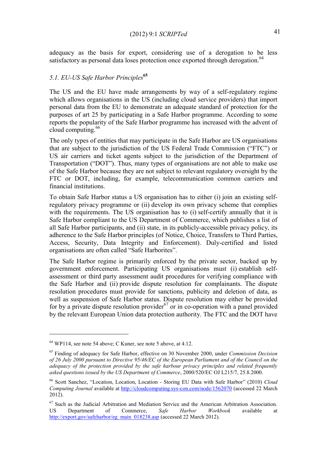adequacy as the basis for export, considering use of a derogation to be less satisfactory as personal data loses protection once exported through derogation.<sup>64</sup>

#### <span id="page-16-1"></span><span id="page-16-0"></span>*5.1. EU-US Safe Harbor Principles***<sup>65</sup>**

The US and the EU have made arrangements by way of a self-regulatory regime which allows organisations in the US (including cloud service providers) that import personal data from the EU to demonstrate an adequate standard of protection for the purposes of art 25 by participating in a Safe Harbor programme. According to some reports the popularity of the Safe Harbor programme has increased with the advent of cloud computing.<sup>66</sup>

The only types of entities that may participate in the Safe Harbor are US organisations that are subject to the jurisdiction of the US Federal Trade Commission ("FTC") or US air carriers and ticket agents subject to the jurisdiction of the Department of Transportation ("DOT"). Thus, many types of organisations are not able to make use of the Safe Harbor because they are not subject to relevant regulatory oversight by the FTC or DOT, including, for example, telecommunication common carriers and financial institutions.

To obtain Safe Harbor status a US organisation has to either (i) join an existing selfregulatory privacy programme or (ii) develop its own privacy scheme that complies with the requirements. The US organisation has to (i) self-certify annually that it is Safe Harbor compliant to the US Department of Commerce, which publishes a list of all Safe Harbor participants, and (ii) state, in its publicly-accessible privacy policy, its adherence to the Safe Harbor principles (of Notice, Choice, Transfers to Third Parties, Access, Security, Data Integrity and Enforcement). Duly-certified and listed organisations are often called "Safe Harborites".

The Safe Harbor regime is primarily enforced by the private sector, backed up by government enforcement. Participating US organisations must (i) establish selfassessment or third party assessment audit procedures for verifying compliance with the Safe Harbor and (ii) provide dispute resolution for complainants. The dispute resolution procedures must provide for sanctions, publicity and deletion of data, as well as suspension of Safe Harbor status. Dispute resolution may either be provided for by a private dispute resolution provider<sup>67</sup> or in co-operation with a panel provided by the relevant European Union data protection authority. The FTC and the DOT have

<u>.</u>

<sup>64</sup> WP114, see note [54](#page-13-0) above; C Kuner, see note [5](#page-3-1) above, at 4.12.

<sup>65</sup> Finding of adequacy for Safe Harbor, effective on 30 November 2000, under *Commission Decision of 26 July 2000 pursuant to Directive 95/46/EC of the European Parliament and of the Council on the adequacy of the protection provided by the safe harbour privacy principles and related frequently asked questions issued by the US Department of Commerce*, 2000/520/EC OJ L215/7, 25.8.2000.

<sup>66</sup> Scott Sanchez, "Location, Location, Location - Storing EU Data with Safe Harbor" (2010) *Cloud Computing Journal* available at<http://cloudcomputing.sys-con.com/node/1562070> (accessed 22 March 2012).

<sup>&</sup>lt;sup>67</sup> Such as the Judicial Arbitration and Mediation Service and the American Arbitration Association. US Department of Commerce, *Safe Harbor Workbook* available at [http://export.gov/safeharbor/eg\\_main\\_018238.asp](http://export.gov/safeharbor/eg_main_018238.asp) (accessed 22 March 2012).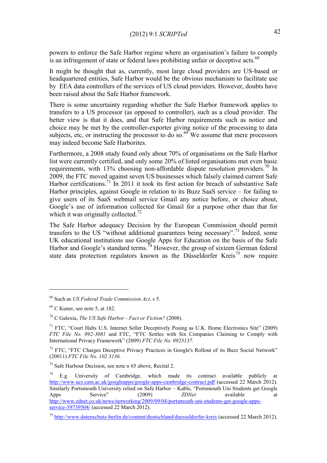powers to enforce the Safe Harbor regime where an organisation's failure to comply is an infringement of state or federal laws prohibiting unfair or deceptive acts.<sup>68</sup>

It might be thought that as, currently, most large cloud providers are US-based or headquartered entities, Safe Harbor would be the obvious mechanism to facilitate use by EEA data controllers of the services of US cloud providers. However, doubts have been raised about the Safe Harbor framework.

There is some uncertainty regarding whether the Safe Harbor framework applies to transfers to a US processor (as opposed to controller), such as a cloud provider. The better view is that it does, and that Safe Harbor requirements such as notice and choice may be met by the controller-exporter giving notice of the processing to data subjects, etc, or instructing the processor to do so.<sup>69</sup> We assume that mere processors may indeed become Safe Harborites.

Furthermore, a 2008 study found only about 70% of organisations on the Safe Harbor list were currently certified, and only some 20% of listed organisations met even basic requirements, with 13% choosing non-affordable dispute resolution providers.<sup>70</sup> In 2009, the FTC moved against seven US businesses which falsely claimed current Safe Harbor certifications.<sup>71</sup> In 2011 it took its first action for breach of substantive Safe Harbor principles, against Google in relation to its Buzz SaaS service – for failing to give users of its SaaS webmail service Gmail any notice before, or choice about, Google's use of information collected for Gmail for a purpose other than that for which it was originally collected.<sup>72</sup>

The Safe Harbor adequacy Decision by the European Commission should permit transfers to the US "without additional guarantees being necessary".<sup>73</sup> Indeed, some UK educational institutions use Google Apps for Education on the basis of the Safe Harbor and Google's standard terms.<sup>74</sup> However, the group of sixteen German federal state data protection regulators known as the Düsseldorfer Kreis<sup>75</sup> now require

<sup>68</sup> Such as *US Federal Trade Commission Act*, s 5.

 $69$  C Kuner, see note [5,](#page-3-1) at 182.

<sup>70</sup> C Galexia, *The US Safe Harbor - Fact or Fiction?* (2008).

<sup>&</sup>lt;sup>71</sup> FTC, "Court Halts U.S. Internet Seller Deceptively Posing as U.K. Home Electronics Site" (2009) *FTC File No. 092-3081* and FTC, "FTC Settles with Six Companies Claiming to Comply with International Privacy Framework" (2009) *FTC File No. 0923137.*

<sup>&</sup>lt;sup>72</sup> FTC, "FTC Charges Deceptive Privacy Practices in Google's Rollout of its Buzz Social Network" (20011) *FTC File No. 102 3136.*

 $73$  Safe Harbour Decision, see note n [65](#page-16-0) above, Recital 2.

<sup>74</sup> E.g. University of Cambridge, which made its contract available publicly at <http://www.ucs.cam.ac.uk/googleapps/google-apps-cambridge-contract.pdf> (accessed 22 March 2012). Similarly Portsmouth University relied on Safe Harbor – Kable, "Portsmouth Uni Students get Google<br>Apps Service" (2009) ZDNet available at Apps Service" (2009) *ZDNet* available at [http://www.zdnet.co.uk/news/networking/2009/09/04/portsmouth-uni-students-get-google-apps](http://www.zdnet.co.uk/news/networking/2009/09/04/portsmouth-uni-students-get-google-apps-service-39739504/)[service-39739504/](http://www.zdnet.co.uk/news/networking/2009/09/04/portsmouth-uni-students-get-google-apps-service-39739504/) (accessed 22 March 2012).

<sup>75</sup> <http://www.datenschutz-berlin.de/content/deutschland/duesseldorfer-kreis> (accessed 22 March 2012).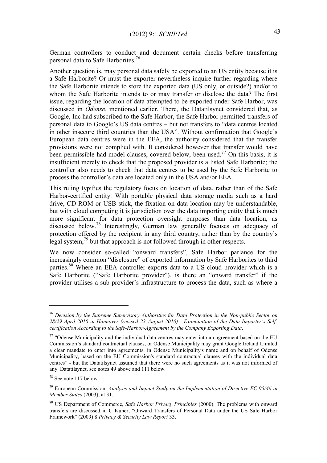German controllers to conduct and document certain checks before transferring personal data to Safe Harborites.<sup>76</sup>

Another question is, may personal data safely be exported to an US entity because it is a Safe Harborite? Or must the exporter nevertheless inquire further regarding where the Safe Harborite intends to store the exported data (US only, or outside?) and/or to whom the Safe Harborite intends to or may transfer or disclose the data? The first issue, regarding the location of data attempted to be exported under Safe Harbor, was discussed in *Odense*, mentioned earlier. There, the Datatilsynet considered that, as Google, Inc had subscribed to the Safe Harbor, the Safe Harbor permitted transfers of personal data to Google's US data centres – but not transfers to "data centres located in other insecure third countries than the USA". Without confirmation that Google's European data centres were in the EEA, the authority considered that the transfer provisions were not complied with. It considered however that transfer would have been permissible had model clauses, covered below, been used.<sup>77</sup> On this basis, it is insufficient merely to check that the proposed provider is a listed Safe Harborite; the controller also needs to check that data centres to be used by the Safe Harborite to process the controller's data are located only in the USA and/or EEA.

This ruling typifies the regulatory focus on location of data, rather than of the Safe Harbor-certified entity. With portable physical data storage media such as a hard drive, CD-ROM or USB stick, the fixation on data location may be understandable, but with cloud computing it is jurisdiction over the data importing entity that is much more significant for data protection oversight purposes than data location, as discussed below.<sup>78</sup> Interestingly, German law generally focuses on adequacy of protection offered by the recipient in any third country, rather than by the country's legal system,<sup>79</sup> but that approach is not followed through in other respects.

<span id="page-18-0"></span>We now consider so-called "onward transfers", Safe Harbor parlance for the increasingly common "disclosure" of exported information by Safe Harborites to third parties.<sup>80</sup> Where an EEA controller exports data to a US cloud provider which is a Safe Harborite ("Safe Harborite provider"), is there an "onward transfer" if the provider utilises a sub-provider's infrastructure to process the data, such as where a

<u>.</u>

<sup>76</sup> *Decision by the Supreme Supervisory Authorities for Data Protection in the Non-public Sector on 28/29 April 2010 in Hannover (revised 23 August 2010) - Examination of the Data Importer's Selfcertification According to the Safe-Harbor-Agreement by the Company Exporting Data*.

 $77$  "Odense Municipality and the individual data centres may enter into an agreement based on the EU Commission's standard contractual clauses, or Odense Municipality may grant Google Ireland Limited a clear mandate to enter into agreements, in Odense Municipality's name and on behalf of Odense Municipality, based on the EU Commission's standard contractual clauses with the individual data centres" - but the Datatilsynet assumed that there were no such agreements as it was not informed of any. Datatilsynet, see note[s 49](#page-12-2) above and 111 below.

<sup>78</sup> See note 117 below.

<sup>79</sup> European Commission, *Analysis and Impact Study on the Implementation of Directive EC 95/46 in Member States* (2003), at 31.

<sup>80</sup> US Department of Commerce, *Safe Harbor Privacy Principles* (2000). The problems with onward transfers are discussed in C Kuner, "Onward Transfers of Personal Data under the US Safe Harbor Framework" (2009) 8 *Privacy & Security Law Report* 33.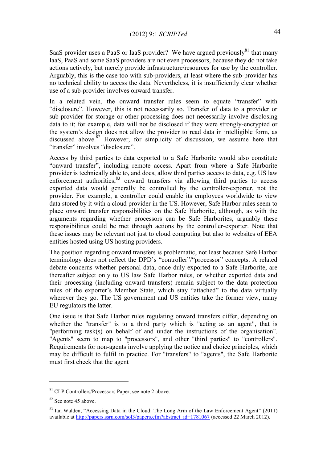SaaS provider uses a PaaS or IaaS provider? We have argued previously<sup>81</sup> that many IaaS, PaaS and some SaaS providers are not even processors, because they do not take actions actively, but merely provide infrastructure/resources for use by the controller. Arguably, this is the case too with sub-providers, at least where the sub-provider has no technical ability to access the data. Nevertheless, it is insufficiently clear whether use of a sub-provider involves onward transfer.

In a related vein, the onward transfer rules seem to equate "transfer" with "disclosure". However, this is not necessarily so. Transfer of data to a provider or sub-provider for storage or other processing does not necessarily involve disclosing data to it; for example, data will not be disclosed if they were strongly-encrypted or the system's design does not allow the provider to read data in intelligible form, as discussed above.<sup>82</sup> However, for simplicity of discussion, we assume here that "transfer" involves "disclosure".

Access by third parties to data exported to a Safe Harborite would also constitute "onward transfer", including remote access. Apart from where a Safe Harborite provider is technically able to, and does, allow third parties access to data, e.g. US law enforcement authorities,  $83$  onward transfers via allowing third parties to access exported data would generally be controlled by the controller-exporter, not the provider. For example, a controller could enable its employees worldwide to view data stored by it with a cloud provider in the US. However, Safe Harbor rules seem to place onward transfer responsibilities on the Safe Harborite, although, as with the arguments regarding whether processors can be Safe Harborites, arguably these responsibilities could be met through actions by the controller-exporter. Note that these issues may be relevant not just to cloud computing but also to websites of EEA entities hosted using US hosting providers.

The position regarding onward transfers is problematic, not least because Safe Harbor terminology does not reflect the DPD's "controller"/"processor" concepts. A related debate concerns whether personal data, once duly exported to a Safe Harborite, are thereafter subject only to US law Safe Harbor rules, or whether exported data and their processing (including onward transfers) remain subject to the data protection rules of the exporter's Member State, which stay "attached" to the data virtually wherever they go. The US government and US entities take the former view, many EU regulators the latter.

One issue is that Safe Harbor rules regulating onward transfers differ, depending on whether the "transfer" is to a third party which is "acting as an agent", that is "performing task(s) on behalf of and under the instructions of the organisation". "Agents" seem to map to "processors", and other "third parties" to "controllers". Requirements for non-agents involve applying the notice and choice principles, which may be difficult to fulfil in practice. For "transfers" to "agents", the Safe Harborite must first check that the agent

<sup>&</sup>lt;sup>81</sup> CLP Controllers/Processors Paper, see not[e 2](#page-2-0) above.

<sup>82</sup> See not[e 45](#page-11-2) above.

<sup>&</sup>lt;sup>83</sup> Ian Walden, "Accessing Data in the Cloud: The Long Arm of the Law Enforcement Agent" (2011) available at [http://papers.ssrn.com/sol3/papers.cfm?abstract\\_id=1781067](http://papers.ssrn.com/sol3/papers.cfm?abstract_id=1781067) (accessed 22 March 2012).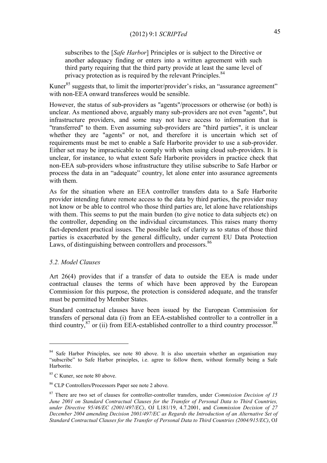subscribes to the [*Safe Harbor*] Principles or is subject to the Directive or another adequacy finding or enters into a written agreement with such third party requiring that the third party provide at least the same level of privacy protection as is required by the relevant Principles.<sup>84</sup>

Kuner<sup>85</sup> suggests that, to limit the importer/provider's risks, an "assurance agreement" with non-EEA onward transferees would be sensible.

However, the status of sub-providers as "agents"/processors or otherwise (or both) is unclear. As mentioned above, arguably many sub-providers are not even "agents", but infrastructure providers, and some may not have access to information that is "transferred" to them. Even assuming sub-providers are "third parties", it is unclear whether they are "agents" or not, and therefore it is uncertain which set of requirements must be met to enable a Safe Harborite provider to use a sub-provider. Either set may be impracticable to comply with when using cloud sub-providers. It is unclear, for instance, to what extent Safe Harborite providers in practice check that non-EEA sub-providers whose infrastructure they utilise subscribe to Safe Harbor or process the data in an "adequate" country, let alone enter into assurance agreements with them.

As for the situation where an EEA controller transfers data to a Safe Harborite provider intending future remote access to the data by third parties, the provider may not know or be able to control who those third parties are, let alone have relationships with them. This seems to put the main burden (to give notice to data subjects etc) on the controller, depending on the individual circumstances. This raises many thorny fact-dependent practical issues. The possible lack of clarity as to status of those third parties is exacerbated by the general difficulty, under current EU Data Protection Laws, of distinguishing between controllers and processors.<sup>86</sup>

#### *5.2. Model Clauses*

Art 26(4) provides that if a transfer of data to outside the EEA is made under contractual clauses the terms of which have been approved by the European Commission for this purpose, the protection is considered adequate, and the transfer must be permitted by Member States.

<span id="page-20-0"></span>Standard contractual clauses have been issued by the European Commission for transfers of personal data (i) from an EEA-established controller to a controller in a third country,  $87$  or (ii) from EEA-established controller to a third country processor.  $88$ 

 $84$  Safe Harbor Principles, see note [80](#page-18-0) above. It is also uncertain whether an organisation may "subscribe" to Safe Harbor principles, i.e. agree to follow them, without formally being a Safe Harborite.

<sup>85</sup> C Kuner, see note [80](#page-18-0) above.

<sup>86</sup> CLP Controllers/Processors Paper see note [2](#page-2-0) above.

<sup>87</sup> There are two set of clauses for controller-controller transfers, under *Commission Decision of 15 June 2001 on Standard Contractual Clauses for the Transfer of Personal Data to Third Countries, under Directive 95/46/EC (2001/497/EC)*, OJ L181/19, 4.7.2001, and *Commission Decision of 27 December 2004 amending Decision 2001/497/EC as Regards the Introduction of an Alternative Set of Standard Contractual Clauses for the Transfer of Personal Data to Third Countries (2004/915/EC)*, OJ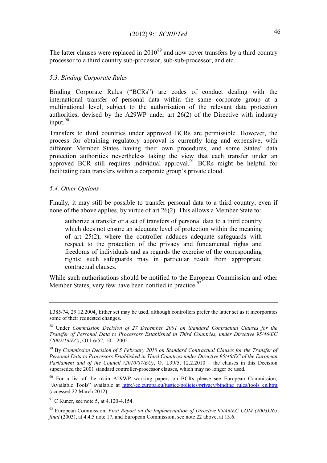<span id="page-21-0"></span>The latter clauses were replaced in  $2010^{89}$  and now cover transfers by a third country processor to a third country sub-processor, sub-sub-processor, and etc.

#### *5.3. Binding Corporate Rules*

Binding Corporate Rules ("BCRs") are codes of conduct dealing with the international transfer of personal data within the same corporate group at a multinational level, subject to the authorisation of the relevant data protection authorities, devised by the A29WP under art 26(2) of the Directive with industry input. $90$ 

Transfers to third countries under approved BCRs are permissible. However, the process for obtaining regulatory approval is currently long and expensive, with different Member States having their own procedures, and some States' data protection authorities nevertheless taking the view that each transfer under an approved BCR still requires individual approval.<sup>91</sup> BCRs might be helpful for facilitating data transfers within a corporate group's private cloud.

#### <span id="page-21-1"></span>*5.4. Other Options*

<u>.</u>

Finally, it may still be possible to transfer personal data to a third country, even if none of the above applies, by virtue of art 26(2). This allows a Member State to:

authorize a transfer or a set of transfers of personal data to a third country which does not ensure an adequate level of protection within the meaning of art 25(2), where the controller adduces adequate safeguards with respect to the protection of the privacy and fundamental rights and freedoms of individuals and as regards the exercise of the corresponding rights; such safeguards may in particular result from appropriate contractual clauses.

While such authorisations should be notified to the European Commission and other Member States, very few have been notified in practice.<sup>92</sup>

L385/74, 29.12.2004. Either set may be used, although controllers prefer the latter set as it incorporates some of their requested changes.

<sup>88</sup> Under *Commission Decision of 27 December 2001 on Standard Contractual Clauses for the Transfer of Personal Data to Processors Established in Third Countries, under Directive 95/46/EC (2002/16/EC)*, OJ L6/52, 10.1.2002.

<sup>89</sup> By *Commission Decision of 5 February 2010 on Standard Contractual Clauses for the Transfer of Personal Data to Processors Established in Third Countries under Directive 95/46/EC of the European Parliament and of the Council (2010/87/EU)*, OJ L39/5, 12.2.2010 – the clauses in this Decision superseded the 2001 standard controller-processor clauses, which may no longer be used.

<sup>&</sup>lt;sup>90</sup> For a list of the main A29WP working papers on BCRs please see European Commission, "Available Tools" available at [http://ec.europa.eu/justice/policies/privacy/binding\\_rules/tools\\_en.htm](http://ec.europa.eu/justice/policies/privacy/binding_rules/tools_en.htm) (accessed 22 March 2012).

 $91$  C Kuner, see note [5,](#page-3-1) at 4, 120-4, 154.

<sup>92</sup> European Commission, *First Report on the Implementation of Directive 95/46/EC COM (2003)265 final* (2003), at 4.4.5 note 17, and [European](http://ec.europa.eu/justice/policies/privacy/docs/lawreport/consultation/technical-annex_en.pdf) Commission, see not[e 22](#page-6-1) above, at 13.6.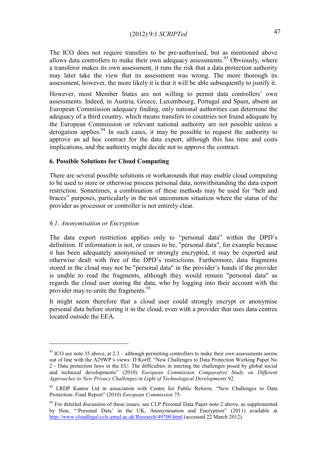The ICO does not require transfers to be pre-authorised, but as mentioned above allows data controllers to make their own adequacy assessments.<sup>93</sup> Obviously, where a transferor makes its own assessment, it runs the risk that a data protection authority may later take the view that its assessment was wrong. The more thorough its assessment, however, the more likely it is that it will be able subsequently to justify it.

However, most Member States are not willing to permit data controllers' own assessments. Indeed, in Austria, Greece, Luxembourg, Portugal and Spain, absent an European Commission adequacy finding, only national authorities can determine the adequacy of a third country, which means transfers to countries not found adequate by the European Commission or relevant national authority are not possible unless a derogation applies.<sup>94</sup> In such cases, it may be possible to request the authority to approve an ad hoc contract for the data export, although this has time and costs implications, and the authority might decide not to approve the contract.

#### **6. Possible Solutions for Cloud Computing**

There are several possible solutions or workarounds that may enable cloud computing to be used to store or otherwise process personal data, notwithstanding the data export restriction. Sometimes, a combination of these methods may be used for "belt and braces" purposes, particularly in the not uncommon situation where the status of the provider as processor or controller is not entirely clear.

#### *6.1. Anonymisation or Encryption*

1

The data export restriction applies only to "personal data" within the DPD's definition. If information is not, or ceases to be, "personal data", for example because it has been adequately anonymised or strongly encrypted, it may be exported and otherwise dealt with free of the DPD's restrictions. Furthermore, data fragments stored in the cloud may not be "personal data" in the provider's hands if the provider is unable to read the fragments, although they would remain "personal data" as regards the cloud user storing the data, who by logging into their account with the provider may re-unite the fragments.<sup>95</sup>

It might seem therefore that a cloud user could strongly encrypt or anonymise personal data before storing it in the cloud, even with a provider that uses data centres located outside the EEA.

 $93$  ICO see note [35](#page-9-1) above, at 2.3 – although permitting controllers to make their own assessments seems out of line with the A29WP's views: D Korff, "New Challenges to Data Protection Working Paper No 2 - Data protection laws in the EU: The difficulties in meeting the challenges posed by global social and technical developments" (2010) *European Commission Comparative Study on Different Approaches to New Privacy Challenges in Light of Technological Developments* 92.

<sup>&</sup>lt;sup>94</sup> LRDP Kantor Ltd in association with Centre for Public Reform, "New Challenges to Data Protection- Final Report" (2010) *European Commission* 75.

<sup>&</sup>lt;sup>95</sup> For detailed discussion of these issues, see CLP Personal Data Paper note [2](#page-2-0) above, as supplemented by Hon, "'Personal Data' in the UK, Anonymisation and Encryption" (2011) available at <http://www.cloudlegal.ccls.qmul.ac.uk/Research/49700.html> (accessed 22 March 2012).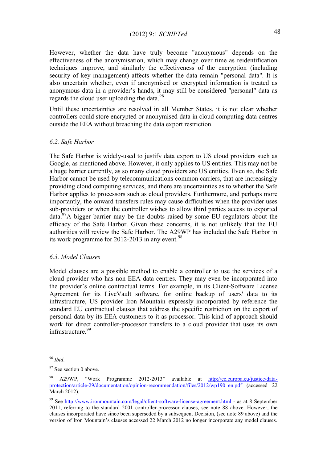However, whether the data have truly become "anonymous" depends on the effectiveness of the anonymisation, which may change over time as reidentification techniques improve, and similarly the effectiveness of the encryption (including security of key management) affects whether the data remain "personal data". It is also uncertain whether, even if anonymised or encrypted information is treated as anonymous data in a provider's hands, it may still be considered "personal" data as regards the cloud user uploading the data.<sup>96</sup>

Until these uncertainties are resolved in all Member States, it is not clear whether controllers could store encrypted or anonymised data in cloud computing data centres outside the EEA without breaching the data export restriction.

#### *6.2. Safe Harbor*

The Safe Harbor is widely-used to justify data export to US cloud providers such as Google, as mentioned above. However, it only applies to US entities. This may not be a huge barrier currently, as so many cloud providers are US entities. Even so, the Safe Harbor cannot be used by telecommunications common carriers, that are increasingly providing cloud computing services, and there are uncertainties as to whether the Safe Harbor applies to processors such as cloud providers. Furthermore, and perhaps more importantly, the onward transfers rules may cause difficulties when the provider uses sub-providers or when the controller wishes to allow third parties access to exported  $data<sup>97</sup>A bigger barrier may be the doubts raised by some EU regulators about the$ efficacy of the Safe Harbor. Given these concerns, it is not unlikely that the EU authorities will review the Safe Harbor. The A29WP has included the Safe Harbor in its work programme for  $2012-2013$  in any event.<sup>98</sup>

#### *6.3. Model Clauses*

Model clauses are a possible method to enable a controller to use the services of a cloud provider who has non-EEA data centres. They may even be incorporated into the provider's online contractual terms. For example, in its Client-Software License Agreement for its LiveVault software, for online backup of users' data to its infrastructure, US provider Iron Mountain expressly incorporated by reference the standard EU contractual clauses that address the specific restriction on the export of personal data by its EEA customers to it as processor. This kind of approach should work for direct controller-processor transfers to a cloud provider that uses its own infrastructure.<sup>99</sup>

<u>.</u>

<sup>96</sup> *Ibid*.

<sup>&</sup>lt;sup>97</sup> See section [0](#page-16-1) above.

A29WP, "Work Programme 2012-2013" available at [http://ec.europa.eu/justice/data](http://ec.europa.eu/justice/data-protection/article-29/documentation/opinion-recommendation/files/2012/wp190_en.pdf)[protection/article-29/documentation/opinion-recommendation/files/2012/wp190\\_en.pdf](http://ec.europa.eu/justice/data-protection/article-29/documentation/opinion-recommendation/files/2012/wp190_en.pdf) (accessed 22 March 2012).

<sup>99</sup> See<http://www.ironmountain.com/legal/client-software-license-agreement.html> - as at 8 September 2011, referring to the standard 2001 controller-processor clauses, see note [88](#page-20-0) above. However, the clauses incorporated have since been superseded by a subsequent Decision, (see note [89](#page-21-0) above) and the version of Iron Mountain's clauses accessed 22 March 2012 no longer incorporate any model clauses.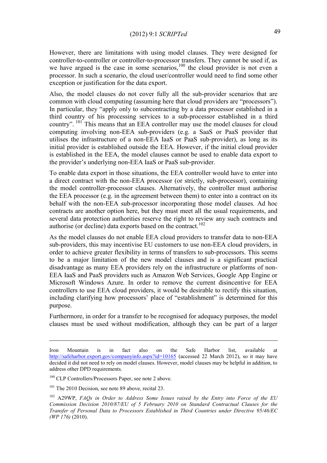However, there are limitations with using model clauses. They were designed for controller-to-controller or controller-to-processor transfers. They cannot be used if, as we have argued is the case in some scenarios, $100$  the cloud provider is not even a processor. In such a scenario, the cloud user/controller would need to find some other exception or justification for the data export.

Also, the model clauses do not cover fully all the sub-provider scenarios that are common with cloud computing (assuming here that cloud providers are "processors"). In particular, they "apply only to subcontracting by a data processor established in a third country of his processing services to a sub-processor established in a third country". <sup>101</sup> This means that an EEA controller may use the model clauses for cloud computing involving non-EEA sub-providers (e.g. a SaaS or PaaS provider that utilises the infrastructure of a non-EEA IaaS or PaaS sub-provider), as long as its initial provider is established outside the EEA. However, if the initial cloud provider is established in the EEA, the model clauses cannot be used to enable data export to the provider's underlying non-EEA IaaS or PaaS sub-provider.

To enable data export in those situations, the EEA controller would have to enter into a direct contract with the non-EEA processor (or strictly, sub-processor), containing the model controller-processor clauses. Alternatively, the controller must authorise the EEA processor (e.g. in the agreement between them) to enter into a contract on its behalf with the non-EEA sub-processor incorporating those model clauses. Ad hoc contracts are another option here, but they must meet all the usual requirements, and several data protection authorities reserve the right to review any such contracts and authorise (or decline) data exports based on the contract.<sup>102</sup>

As the model clauses do not enable EEA cloud providers to transfer data to non-EEA sub-providers, this may incentivise EU customers to use non-EEA cloud providers, in order to achieve greater flexibility in terms of transfers to sub-processors. This seems to be a major limitation of the new model clauses and is a significant practical disadvantage as many EEA providers rely on the infrastructure or platforms of non-EEA IaaS and PaaS providers such as Amazon Web Services, Google App Engine or Microsoft Windows Azure. In order to remove the current disincentive for EEA controllers to use EEA cloud providers, it would be desirable to rectify this situation, including clarifying how processors' place of "establishment" is determined for this purpose.

Furthermore, in order for a transfer to be recognised for adequacy purposes, the model clauses must be used without modification, although they can be part of a larger

Iron Mountain is in fact also on the Safe Harbor list, available at <http://safeharbor.export.gov/companyinfo.aspx?id=10165> (accessed 22 March 2012), so it may have decided it did not need to rely on model clauses. However, model clauses may be helpful in addition, to address other DPD requirements.

<sup>&</sup>lt;sup>100</sup> CLP Controllers/Processors Paper, see note [2](#page-2-0) above.

 $101$  The 2010 Decision, see note [89](#page-21-0) above, recital 23.

<sup>102</sup> A29WP, *FAQs in Order to Address Some Issues raised by the Entry into Force of the EU Commission Decision 2010/87/EU of 5 February 2010 on Standard Contractual Clauses for the Transfer of Personal Data to Processors Established in Third Countries under Directive 95/46/EC (WP 176)* (2010).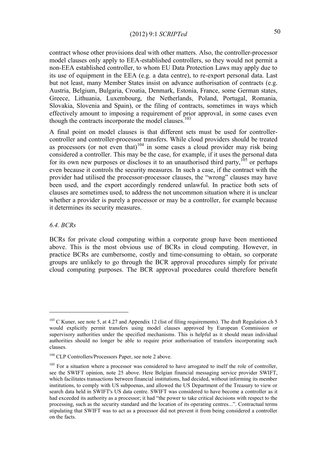<span id="page-25-1"></span>contract whose other provisions deal with other matters. Also, the controller-processor model clauses only apply to EEA-established controllers, so they would not permit a non-EEA established controller, to whom EU Data Protection Laws may apply due to its use of equipment in the EEA (e.g. a data centre), to re-export personal data. Last but not least, many Member States insist on advance authorisation of contracts (e.g. Austria, Belgium, Bulgaria, Croatia, Denmark, Estonia, France, some German states, Greece, Lithuania, Luxembourg, the Netherlands, Poland, Portugal, Romania, Slovakia, Slovenia and Spain), or the filing of contracts, sometimes in ways which effectively amount to imposing a requirement of prior approval, in some cases even though the contracts incorporate the model clauses.<sup>103</sup>

<span id="page-25-0"></span>A final point on model clauses is that different sets must be used for controllercontroller and controller-processor transfers. While cloud providers should be treated as processors (or not even that)<sup>104</sup> in some cases a cloud provider may risk being considered a controller. This may be the case, for example, if it uses the personal data for its own new purposes or discloses it to an unauthorised third party,  $^{105}$  or perhaps even because it controls the security measures. In such a case, if the contract with the provider had utilised the processor-processor clauses, the "wrong" clauses may have been used, and the export accordingly rendered unlawful. In practice both sets of clauses are sometimes used, to address the not uncommon situation where it is unclear whether a provider is purely a processor or may be a controller, for example because it determines its security measures.

#### *6.4. BCRs*

<u>.</u>

BCRs for private cloud computing within a corporate group have been mentioned above. This is the most obvious use of BCRs in cloud computing. However, in practice BCRs are cumbersome, costly and time-consuming to obtain, so corporate groups are unlikely to go through the BCR approval procedures simply for private cloud computing purposes. The BCR approval procedures could therefore benefit

<sup>&</sup>lt;sup>103</sup> C Kuner, see note [5,](#page-3-1) at 4.27 and Appendix 12 (list of filing requirements). The draft Regulation ch 5 would explicitly permit transfers using model clauses approved by European Commission or supervisory authorities under the specified mechanisms. This is helpful as it should mean individual authorities should no longer be able to require prior authorisation of transfers incorporating such clauses.

<sup>&</sup>lt;sup>104</sup> CLP Controllers/Processors Paper, see note [2](#page-2-0) above.

 $105$  For a situation where a processor was considered to have arrogated to itself the role of controller, see the SWIFT opinion, note [25](#page-6-0) above. Here Belgian financial messaging service provider SWIFT, which facilitates transactions between financial institutions, had decided, without informing its member institutions, to comply with US subpoenas, and allowed the US Department of the Treasury to view or search data held in SWIFT's US data centre. SWIFT was considered to have become a controller as it had exceeded its authority as a processor; it had "the power to take critical decisions with respect to the processing, such as the security standard and the location of its operating centres...". Contractual terms stipulating that SWIFT was to act as a processor did not prevent it from being considered a controller on the facts.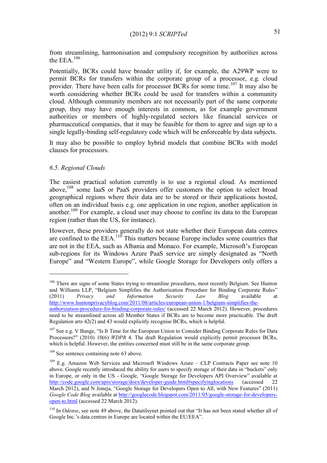from streamlining, harmonisation and compulsory recognition by authorities across the EEA $106$ 

Potentially, BCRs could have broader utility if, for example, the A29WP were to permit BCRs for transfers within the corporate group of a processor, e.g. cloud provider. There have been calls for processor BCRs for some time.<sup>107</sup> It may also be worth considering whether BCRs could be used for transfers within a community cloud. Although community members are not necessarily part of the same corporate group, they may have enough interests in common, as for example government authorities or members of highly-regulated sectors like financial services or pharmaceutical companies, that it may be feasible for them to agree and sign up to a single legally-binding self-regulatory code which will be enforceable by data subjects.

It may also be possible to employ hybrid models that combine BCRs with model clauses for processors.

#### <span id="page-26-0"></span>*6.5. Regional Clouds*

1

The easiest practical solution currently is to use a regional cloud. As mentioned above, $108$  some IaaS or PaaS providers offer customers the option to select broad geographical regions where their data are to be stored or their applications hosted, often on an individual basis e.g. one application in one region, another application in another.<sup>109</sup> For example, a cloud user may choose to confine its data to the European region (rather than the US, for instance).

However, these providers generally do not state whether their European data centres are confined to the  $EEA$ <sup>110</sup>. This matters because Europe includes some countries that are not in the EEA, such as Albania and Monaco. For example, Microsoft's European sub-regions for its Windows Azure PaaS service are simply designated as "North Europe" and "Western Europe", while Google Storage for Developers only offers a

<sup>&</sup>lt;sup>106</sup> There are signs of some States trying to streamline procedures, most recently Belgium. See Hunton and Williams LLP, "Belgium Simplifies the Authorization Procedure for Binding Corporate Rules" (2011) *Privacy and Information Security Law Blog* available at [http://www.huntonprivacyblog.com/2011/08/articles/european-union-1/belgium-simplifies-the](http://www.huntonprivacyblog.com/2011/08/articles/european-union-1/belgium-simplifies-the-authorization-procedure-for-binding-corporate-rules/)[authorization-procedure-for-binding-corporate-rules/](http://www.huntonprivacyblog.com/2011/08/articles/european-union-1/belgium-simplifies-the-authorization-procedure-for-binding-corporate-rules/) (accessed 22 March 2012). However, procedures need to be streamlined across all Member States if BCRs are to become more practicable. The draft Regulation arts 42(2) and 43 would explicitly recognise BCRs, which is helpful.

<sup>&</sup>lt;sup>107</sup> See e.g. V Bange, "Is It Time for the European Union to Consider Binding Corporate Rules for Data Processors?" (2010) 10(6) *WDPR* 4. The draft Regulation would explicitly permit processor BCRs, which is helpful. However, the entities concerned must still be in the same corporate group.

<sup>&</sup>lt;sup>108</sup> See sentence containing note [63](#page-15-0) above.

<sup>&</sup>lt;sup>109</sup> E.g. Amazon Web Services and Microsoft Windows Azure – CLP Contracts Paper see note [10](#page-4-0) above. Google recently introduced the ability for users to specify storage of their data in "buckets" only in Europe, or only in the US - Google, "Google Storage for Developers API Overview" available at <http://code.google.com/apis/storage/docs/developer-guide.html#specifyinglocations> (accessed 22 March 2012), and N Joneja, "Google Storage for Developers Open to All, with New Features" (2011) *Google Code Blog* available at [http://googlecode.blogspot.com/2011/05/google-storage-for-developers](http://googlecode.blogspot.com/2011/05/google-storage-for-developers-open-to.html)[open-to.html](http://googlecode.blogspot.com/2011/05/google-storage-for-developers-open-to.html) (accessed 22 March 2012).

<sup>&</sup>lt;sup>110</sup> In *Odense*, see note [49](#page-12-2) above, the Datatilsynet pointed out that "It has not been stated whether all of Google Inc.'s data centres in Europe are located within the EU/EEA".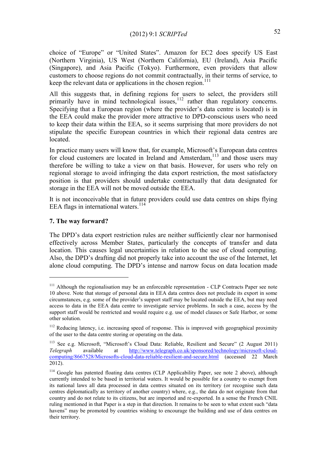choice of "Europe" or "United States". Amazon for EC2 does specify US East (Northern Virginia), US West (Northern California), EU (Ireland), Asia Pacific (Singapore), and Asia Pacific (Tokyo). Furthermore, even providers that allow customers to choose regions do not commit contractually, in their terms of service, to keep the relevant data or applications in the chosen region. $111$ 

All this suggests that, in defining regions for users to select, the providers still primarily have in mind technological issues,  $12$  rather than regulatory concerns. Specifying that a European region (where the provider's data centre is located) is in the EEA could make the provider more attractive to DPD-conscious users who need to keep their data within the EEA, so it seems surprising that more providers do not stipulate the specific European countries in which their regional data centres are **located** 

In practice many users will know that, for example, Microsoft's European data centres for cloud customers are located in Ireland and Amsterdam,<sup>113</sup> and those users may therefore be willing to take a view on that basis. However, for users who rely on regional storage to avoid infringing the data export restriction, the most satisfactory position is that providers should undertake contractually that data designated for storage in the EEA will not be moved outside the EEA.

It is not inconceivable that in future providers could use data centres on ships flying EEA flags in international waters.<sup>114</sup>

#### **7. The way forward?**

1

The DPD's data export restriction rules are neither sufficiently clear nor harmonised effectively across Member States, particularly the concepts of transfer and data location. This causes legal uncertainties in relation to the use of cloud computing. Also, the DPD's drafting did not properly take into account the use of the Internet, let alone cloud computing. The DPD's intense and narrow focus on data location made

<sup>&</sup>lt;sup>111</sup> Although the regionalisation may be an enforceable representation - CLP Contracts Paper see note [10](#page-4-0) above. Note that storage of personal data in EEA data centres does not preclude its export in some circumstances, e.g. some of the provider's support staff may be located outside the EEA, but may need access to data in the EEA data centre to investigate service problems. In such a case, access by the support staff would be restricted and would require e.g. use of model clauses or Safe Harbor, or some other solution.

<sup>&</sup>lt;sup>112</sup> Reducing latency, i.e. increasing speed of response. This is improved with geographical proximity of the user to the data centre storing or operating on the data.

<sup>&</sup>lt;sup>113</sup> See e.g. Microsoft, "Microsoft's Cloud Data: Reliable, Resilient and Secure" (2 August 2011) *Telegraph* available at [http://www.telegraph.co.uk/sponsored/technology/microsoft-cloud](http://www.telegraph.co.uk/sponsored/technology/microsoft-cloud-computing/8667528/Microsofts-cloud-data-reliable-resilient-and-secure.html)[computing/8667528/Microsofts-cloud-data-reliable-resilient-and-secure.html](http://www.telegraph.co.uk/sponsored/technology/microsoft-cloud-computing/8667528/Microsofts-cloud-data-reliable-resilient-and-secure.html) (accessed 22 March 2012).

<sup>&</sup>lt;sup>114</sup> Google has patented floating data centres (CLP Applicability Paper, see note [2](#page-2-0) above), although currently intended to be based in territorial waters. It would be possible for a country to exempt from its national laws all data processed in data centres situated on its territory (or recognise such data centres diplomatically as territory of another country) where, e.g., the data do not originate from that country and do not relate to its citizens, but are imported and re-exported. In a sense the French CNIL ruling mentioned in that Paper is a step in that direction. It remains to be seen to what extent such "data havens" may be promoted by countries wishing to encourage the building and use of data centres on their territory.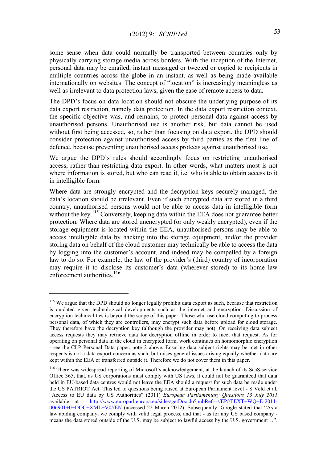some sense when data could normally be transported between countries only by physically carrying storage media across borders. With the inception of the Internet, personal data may be emailed, instant messaged or tweeted or copied to recipients in multiple countries across the globe in an instant, as well as being made available internationally on websites. The concept of "location" is increasingly meaningless as well as irrelevant to data protection laws, given the ease of remote access to data.

The DPD's focus on data location should not obscure the underlying purpose of its data export restriction, namely data protection. In the data export restriction context, the specific objective was, and remains, to protect personal data against access by unauthorised persons. Unauthorised use is another risk, but data cannot be used without first being accessed, so, rather than focusing on data export, the DPD should consider protection against unauthorised access by third parties as the first line of defence, because preventing unauthorised access protects against unauthorised use.

We argue the DPD's rules should accordingly focus on restricting unauthorised access, rather than restricting data export. In other words, what matters most is not where information is stored, but who can read it, i.e. who is able to obtain access to it in intelligible form.

Where data are strongly encrypted and the decryption keys securely managed, the data's location should be irrelevant. Even if such encrypted data are stored in a third country, unauthorised persons would not be able to access data in intelligible form without the key.<sup>115</sup> Conversely, keeping data within the EEA does not guarantee better protection. Where data are stored unencrypted (or only weakly encrypted), even if the storage equipment is located within the EEA, unauthorised persons may be able to access intelligible data by hacking into the storage equipment, and/or the provider storing data on behalf of the cloud customer may technically be able to access the data by logging into the customer's account, and indeed may be compelled by a foreign law to do so. For example, the law of the provider's (third) country of incorporation may require it to disclose its customer's data (wherever stored) to its home law enforcement authorities. $116$ 

<sup>&</sup>lt;sup>115</sup> We argue that the DPD should no longer legally prohibit data export as such, because that restriction is outdated given technological developments such as the internet and encryption. Discussion of encryption technicalities is beyond the scope of this paper. Those who use cloud computing to process personal data, of which they are controllers, may encrypt such data before upload for cloud storage. They therefore have the decryption key (although the provider may not). On receiving data subject access requests they may retrieve data for decryption offline in order to meet that request. As for operating on personal data in the cloud in encrypted form, work continues on homomorphic encryption - see the CLP Personal Data paper, note [2](#page-2-0) above. Ensuring data subject rights may be met in other respects is not a data export concern as such, but raises general issues arising equally whether data are kept within the EEA or transferred outside it. Therefore we do not cover them in this paper.

<sup>&</sup>lt;sup>116</sup> There was widespread reporting of Microsoft's acknowledgement, at the launch of its SaaS service Office 365, that, as US corporations must comply with US laws, it could not be guaranteed that data held in EU-based data centres would not leave the EEA should a request for such data be made under the US PATRIOT Act. This led to questions being raised at European Parliament level - S Veld et al, "Access to EU data by US Authorities" (2011) *European Parliamentary Questions 13 July 2011*  available at <u>[http://www.europarl.europa.eu/sides/getDoc.do?pubRef=-//EP//TEXT+WQ+E-2011-](http://www.europarl.europa.eu/sides/getDoc.do?pubRef=-//EP//TEXT+WQ+E-2011-006901+0+DOC+XML+V0//EN)</u> [006901+0+DOC+XML+V0//EN](http://www.europarl.europa.eu/sides/getDoc.do?pubRef=-//EP//TEXT+WQ+E-2011-006901+0+DOC+XML+V0//EN) (accessed 22 March 2012). Subsequently, Google stated that "As a law abiding company, we comply with valid legal process, and that - as for any US based company means the data stored outside of the U.S. may be subject to lawful access by the U.S. government…".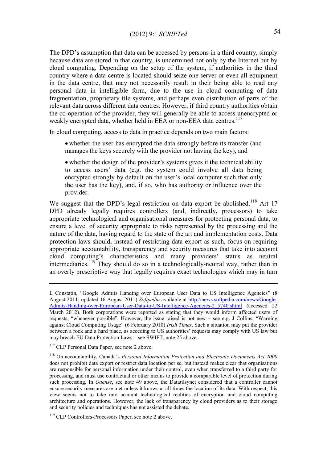The DPD's assumption that data can be accessed by persons in a third country, simply because data are stored in that country, is undermined not only by the Internet but by cloud computing. Depending on the setup of the system, if authorities in the third country where a data centre is located should seize one server or even all equipment in the data centre, that may not necessarily result in their being able to read any personal data in intelligible form, due to the use in cloud computing of data fragmentation, proprietary file systems, and perhaps even distribution of parts of the relevant data across different data centres. However, if third country authorities obtain the co-operation of the provider, they will generally be able to access unencrypted or weakly encrypted data, whether held in EEA or non-EEA data centres.<sup>117</sup>

In cloud computing, access to data in practice depends on two main factors:

 whether the user has encrypted the data strongly before its transfer (and manages the keys securely with the provider not having the key), and

 whether the design of the provider's systems gives it the technical ability to access users' data (e.g. the system could involve all data being encrypted strongly by default on the user's local computer such that only the user has the key), and, if so, who has authority or influence over the provider.

We suggest that the DPD's legal restriction on data export be abolished.<sup>118</sup> Art 17 DPD already legally requires controllers (and, indirectly, processors) to take appropriate technological and organisational measures for protecting personal data, to ensure a level of security appropriate to risks represented by the processing and the nature of the data, having regard to the state of the art and implementation costs. Data protection laws should, instead of restricting data export as such, focus on requiring appropriate accountability, transparency and security measures that take into account cloud computing's characteristics and many providers' status as neutral intermediaries.<sup>119</sup> They should do so in a technologically-neutral way, rather than in an overly prescriptive way that legally requires exact technologies which may in turn

<sup>117</sup> CLP Personal Data Paper, see note [2](#page-2-0) above.

1

<sup>119</sup> CLP Controllers-Processors Paper, see not[e 2](#page-2-0) above.

L Constatin, "Google Admits Handing over European User Data to US Intelligence Agencies" (8 August 2011; updated 16 August 2011) *Softpedia* available at [http://news.softpedia.com/news/Google-](http://news.softpedia.com/news/Google-Admits-Handing-over-European-User-Data-to-US-Intelligence-Agencies-215740.shtml)[Admits-Handing-over-European-User-Data-to-US-Intelligence-Agencies-215740.shtml](http://news.softpedia.com/news/Google-Admits-Handing-over-European-User-Data-to-US-Intelligence-Agencies-215740.shtml) (accessed 22 March 2012). Both corporations were reported as stating that they would inform affected users of requests, "whenever possible". However, the issue raised is not new – see e.g. J Collins, "Warning against Cloud Computing Usage" (6 February 2010) *Irish Times*. Such a situation may put the provider between a rock and a hard place, as acceding to US authorities' requests may comply with US law but may breach EU Data Protection Laws – see SWIFT, note [25](#page-6-0) above.

<sup>118</sup> On accountability, Canada's *Personal Information Protection and Electronic Documents Act 2000*  does not prohibit data export or restrict data location per se, but instead makes clear that organisations are responsible for personal information under their control, even when transferred to a third party for processing, and must use contractual or other means to provide a comparable level of protection during such processing. In *Odense*, see note [49](#page-12-2) above, the Datatilsynet considered that a controller cannot ensure security measures are met unless it knows at all times the location of its data. With respect, this view seems not to take into account technological realities of encryption and cloud computing architecture and operations. However, the lack of transparency by cloud providers as to their storage and security policies and techniques has not assisted the debate.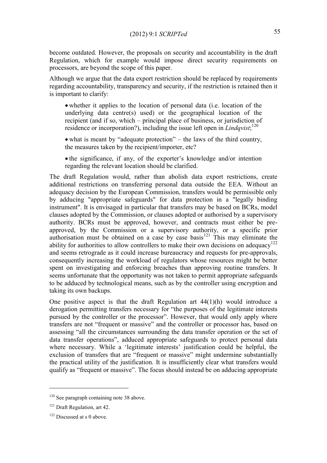become outdated. However, the proposals on security and accountability in the draft Regulation, which for example would impose direct security requirements on processors, are beyond the scope of this paper.

Although we argue that the data export restriction should be replaced by requirements regarding accountability, transparency and security, if the restriction is retained then it is important to clarify:

 whether it applies to the location of personal data (i.e. location of the underlying data centre(s) used) or the geographical location of the recipient (and if so, which – principal place of business, or jurisdiction of residence or incorporation?), including the issue left open in *Lindqvist*; 120

 $\bullet$  what is meant by "adequate protection" – the laws of the third country, the measures taken by the recipient/importer, etc?

 the significance, if any, of the exporter's knowledge and/or intention regarding the relevant location should be clarified.

The draft Regulation would, rather than abolish data export restrictions, create additional restrictions on transferring personal data outside the EEA. Without an adequacy decision by the European Commission, transfers would be permissible only by adducing "appropriate safeguards" for data protection in a "legally binding instrument". It is envisaged in particular that transfers may be based on BCRs, model clauses adopted by the Commission, or clauses adopted or authorised by a supervisory authority. BCRs must be approved, however, and contracts must either be preapproved, by the Commission or a supervisory authority, or a specific prior authorisation must be obtained on a case by case basis $121$  This may eliminate the ability for authorities to allow controllers to make their own decisions on adequacy<sup>122</sup> and seems retrograde as it could increase bureaucracy and requests for pre-approvals, consequently increasing the workload of regulators whose resources might be better spent on investigating and enforcing breaches than approving routine transfers. It seems unfortunate that the opportunity was not taken to permit appropriate safeguards to be adduced by technological means, such as by the controller using encryption and taking its own backups.

One positive aspect is that the draft Regulation art 44(1)(h) would introduce a derogation permitting transfers necessary for "the purposes of the legitimate interests pursued by the controller or the processor". However, that would only apply where transfers are not "frequent or massive" and the controller or processor has, based on assessing "all the circumstances surrounding the data transfer operation or the set of data transfer operations", adduced appropriate safeguards to protect personal data where necessary. While a 'legitimate interests' justification could be helpful, the exclusion of transfers that are "frequent or massive" might undermine substantially the practical utility of the justification. It is insufficiently clear what transfers would qualify as "frequent or massive". The focus should instead be on adducing appropriate

<u>.</u>

<sup>&</sup>lt;sup>120</sup> See paragraph containing note [38](#page-9-0) above.

 $121$  Draft Regulation, art 42.

<sup>&</sup>lt;sup>122</sup> Discussed at s [0](#page-21-1) above.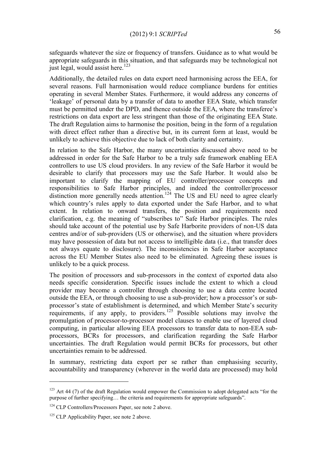safeguards whatever the size or frequency of transfers. Guidance as to what would be appropriate safeguards in this situation, and that safeguards may be technological not just legal, would assist here.<sup>123</sup>

Additionally, the detailed rules on data export need harmonising across the EEA, for several reasons. Full harmonisation would reduce compliance burdens for entities operating in several Member States. Furthermore, it would address any concerns of 'leakage' of personal data by a transfer of data to another EEA State, which transfer must be permitted under the DPD, and thence outside the EEA, where the transferee's restrictions on data export are less stringent than those of the originating EEA State. The draft Regulation aims to harmonise the position, being in the form of a regulation with direct effect rather than a directive but, in its current form at least, would be unlikely to achieve this objective due to lack of both clarity and certainty.

In relation to the Safe Harbor, the many uncertainties discussed above need to be addressed in order for the Safe Harbor to be a truly safe framework enabling EEA controllers to use US cloud providers. In any review of the Safe Harbor it would be desirable to clarify that processors may use the Safe Harbor. It would also be important to clarify the mapping of EU controller/processor concepts and responsibilities to Safe Harbor principles, and indeed the controller/processor distinction more generally needs attention.<sup>124</sup> The US and EU need to agree clearly which country's rules apply to data exported under the Safe Harbor, and to what extent. In relation to onward transfers, the position and requirements need clarification, e.g. the meaning of "subscribes to" Safe Harbor principles. The rules should take account of the potential use by Safe Harborite providers of non-US data centres and/or of sub-providers (US or otherwise), and the situation where providers may have possession of data but not access to intelligible data (i.e., that transfer does not always equate to disclosure). The inconsistencies in Safe Harbor acceptance across the EU Member States also need to be eliminated. Agreeing these issues is unlikely to be a quick process.

The position of processors and sub-processors in the context of exported data also needs specific consideration. Specific issues include the extent to which a cloud provider may become a controller through choosing to use a data centre located outside the EEA, or through choosing to use a sub-provider; how a processor's or subprocessor's state of establishment is determined, and which Member State's security requirements, if any apply, to providers.<sup>125</sup> Possible solutions may involve the promulgation of processor-to-processor model clauses to enable use of layered cloud computing, in particular allowing EEA processors to transfer data to non-EEA subprocessors, BCRs for processors, and clarification regarding the Safe Harbor uncertainties. The draft Regulation would permit BCRs for processors, but other uncertainties remain to be addressed.

In summary, restricting data export per se rather than emphasising security, accountability and transparency (wherever in the world data are processed) may hold

<sup>&</sup>lt;sup>123</sup> Art 44 (7) of the draft Regulation would empower the Commission to adopt delegated acts "for the purpose of further specifying… the criteria and requirements for appropriate safeguards".

<sup>&</sup>lt;sup>124</sup> CLP Controllers/Processors Paper, see note [2](#page-2-0) above.

 $125$  CLP Applicability Paper, see note [2](#page-2-0) above.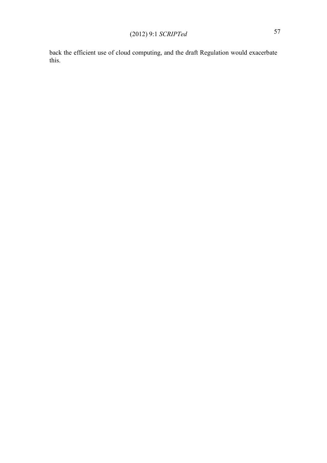back the efficient use of cloud computing, and the draft Regulation would exacerbate this.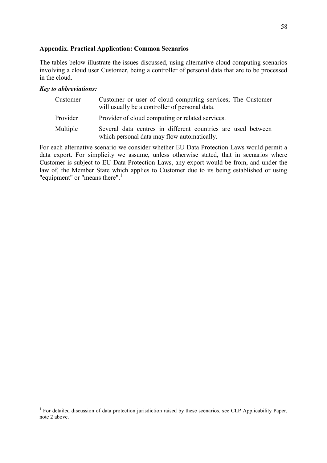#### **Appendix. Practical Application: Common Scenarios**

The tables below illustrate the issues discussed, using alternative cloud computing scenarios involving a cloud user Customer, being a controller of personal data that are to be processed in the cloud.

#### *Key to abbreviations:*

<u>.</u>

| Customer | Customer or user of cloud computing services; The Customer<br>will usually be a controller of personal data. |
|----------|--------------------------------------------------------------------------------------------------------------|
| Provider | Provider of cloud computing or related services.                                                             |
| Multiple | Several data centres in different countries are used between<br>which personal data may flow automatically.  |

For each alternative scenario we consider whether EU Data Protection Laws would permit a data export. For simplicity we assume, unless otherwise stated, that in scenarios where Customer is subject to EU Data Protection Laws, any export would be from, and under the law of, the Member State which applies to Customer due to its being established or using "equipment" or "means there". $\frac{1}{1}$ 

<sup>&</sup>lt;sup>1</sup> For detailed discussion of data protection jurisdiction raised by these scenarios, see CLP Applicability Paper, not[e 2](#page-2-0) above.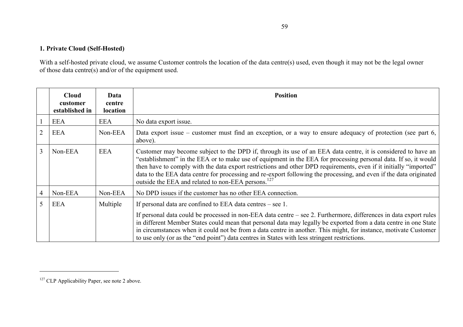## **1. Private Cloud (Self-Hosted)**

With a self-hosted private cloud, we assume Customer controls the location of the data centre(s) used, even though it may not be the legal owner of those data centre(s) and/or of the equipment used.

|   | <b>Cloud</b><br>customer<br>established in | Data<br>centre<br>location | <b>Position</b>                                                                                                                                                                                                                                                                                                                                                                                                                                                                                                                               |
|---|--------------------------------------------|----------------------------|-----------------------------------------------------------------------------------------------------------------------------------------------------------------------------------------------------------------------------------------------------------------------------------------------------------------------------------------------------------------------------------------------------------------------------------------------------------------------------------------------------------------------------------------------|
|   | <b>EEA</b>                                 | EEA                        | No data export issue.                                                                                                                                                                                                                                                                                                                                                                                                                                                                                                                         |
|   | <b>EEA</b>                                 | Non-EEA                    | Data export issue – customer must find an exception, or a way to ensure adequacy of protection (see part $6$ ,<br>above).                                                                                                                                                                                                                                                                                                                                                                                                                     |
| 3 | Non-EEA                                    | <b>EEA</b>                 | Customer may become subject to the DPD if, through its use of an EEA data centre, it is considered to have an<br>"establishment" in the EEA or to make use of equipment in the EEA for processing personal data. If so, it would<br>then have to comply with the data export restrictions and other DPD requirements, even if it initially "imported"<br>data to the EEA data centre for processing and re-export following the processing, and even if the data originated<br>outside the EEA and related to non-EEA persons. <sup>127</sup> |
| 4 | Non-EEA                                    | Non-EEA                    | No DPD issues if the customer has no other EEA connection.                                                                                                                                                                                                                                                                                                                                                                                                                                                                                    |
| 5 | <b>EEA</b>                                 | Multiple                   | If personal data are confined to EEA data centres – see 1.<br>If personal data could be processed in non-EEA data centre – see 2. Furthermore, differences in data export rules<br>in different Member States could mean that personal data may legally be exported from a data centre in one State<br>in circumstances when it could not be from a data centre in another. This might, for instance, motivate Customer<br>to use only (or as the "end point") data centres in States with less stringent restrictions.                       |

 $\overline{a}$ 

<sup>&</sup>lt;sup>127</sup> CLP Applicability Paper, see note [2](#page-2-2) above.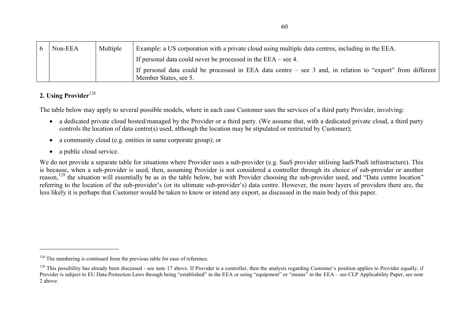| Non-EEA | Multiple | Example: a US corporation with a private cloud using multiple data centres, including in the EEA.                                   |
|---------|----------|-------------------------------------------------------------------------------------------------------------------------------------|
|         |          | If personal data could never be processed in the EEA – see 4.                                                                       |
|         |          | If personal data could be processed in EEA data centre – see 3 and, in relation to "export" from different<br>Member States, see 5. |

## **2. Using Provider**<sup>128</sup>

 $\overline{a}$ 

The table below may apply to several possible models, where in each case Customer uses the services of a third party Provider, involving:

- a dedicated private cloud hosted/managed by the Provider or a third party. (We assume that, with a dedicated private cloud, a third party controls the location of data centre(s) used, although the location may be stipulated or restricted by Customer);
- a community cloud (e.g. entities in same corporate group); or
- a public cloud service.

We do not provide a separate table for situations where Provider uses a sub-provider (e.g. SaaS provider utilising IaaS/PaaS infrastructure). This is because, when a sub-provider is used, then, assuming Provider is not considered a controller through its choice of sub-provider or another reason.<sup>129</sup> the situation will essentially be as in the table below, but with Provider choosing the sub-provider used, and "Data centre location" referring to the location of the sub-provider's (or its ultimate sub-provider's) data centre. However, the more layers of providers there are, the less likely it is perhaps that Customer would be taken to know or intend any export, as discussed in the main body of this paper.

 $128$  The numbering is continued from the previous table for ease of reference.

 $129$  This possibility has already been discussed - see note [17](#page-5-0) above. If Provider is a controller, then the analysis regarding Customer's position applies to Provider equally, if Provider is subject to EU Data Protection Laws through being "established" in the EEA or using "equipment" or "means" in the EEA – see CLP Applicability Paper, see note [2](#page-2-2) above.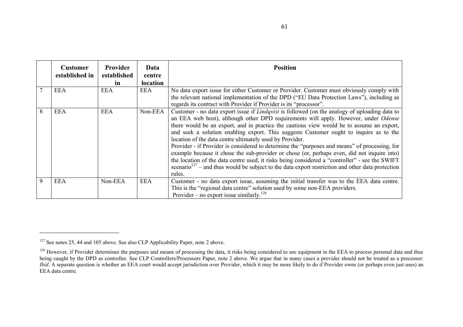|   | <b>Customer</b><br>established in | Provider<br>established<br>in | Data<br>centre<br>location | <b>Position</b>                                                                                                                                                                                                                                                                                                                                                                                                                                                                                                                                                                                                                                                                                                                                                                                                                                                                   |
|---|-----------------------------------|-------------------------------|----------------------------|-----------------------------------------------------------------------------------------------------------------------------------------------------------------------------------------------------------------------------------------------------------------------------------------------------------------------------------------------------------------------------------------------------------------------------------------------------------------------------------------------------------------------------------------------------------------------------------------------------------------------------------------------------------------------------------------------------------------------------------------------------------------------------------------------------------------------------------------------------------------------------------|
|   | EEA                               | <b>EEA</b>                    | EEA                        | No data export issue for either Customer or Provider. Customer must obviously comply with<br>the relevant national implementation of the DPD ("EU Data Protection Laws"), including as<br>regards its contract with Provider if Provider is its "processor".                                                                                                                                                                                                                                                                                                                                                                                                                                                                                                                                                                                                                      |
| 8 | EEA                               | <b>EEA</b>                    | Non-EEA                    | Customer - no data export issue if <i>Lindqvist</i> is followed (on the analogy of uploading data to<br>an EEA web host), although other DPD requirements will apply. However, under <i>Odense</i><br>there would be an export, and in practice the cautious view would be to assume an export,<br>and seek a solution enabling export. This suggests Customer ought to inquire as to the<br>location of the data centre ultimately used by Provider.<br>Provider - if Provider is considered to determine the "purposes and means" of processing, for<br>example because it chose the sub-provider or chose (or, perhaps even, did not inquire into)<br>the location of the data centre used, it risks being considered a "controller" - see the SWIFT<br>scenario <sup>127</sup> – and thus would be subject to the data export restriction and other data protection<br>rules. |
| 9 | EEA                               | Non-EEA                       | <b>EEA</b>                 | Customer - no data export issue, assuming the initial transfer was to the EEA data centre.<br>This is the "regional data centre" solution used by some non-EEA providers.<br>Provider – no export issue similarly. <sup>128</sup>                                                                                                                                                                                                                                                                                                                                                                                                                                                                                                                                                                                                                                                 |

 $\overline{a}$ 

 $127$  See notes [25,](#page-6-2) [44](#page-11-3) and [105](#page-25-1) above. See also CLP Applicability Paper, not[e 2](#page-2-2) above.

<sup>&</sup>lt;sup>128</sup> However, if Provider determines the purposes and means of processing the data, it risks being considered to use equipment in the EEA to process personal data and thus being caught by the DPD as controller. See CLP Controllers/Processors Paper, note [2](#page-2-2) above. We argue that in many cases a provider should not be treated as a processor: *Ibid*. A separate question is whether an EEA court would accept jurisdiction over Provider, which it may be more likely to do if Provider owns (or perhaps even just uses) an EEA data centre.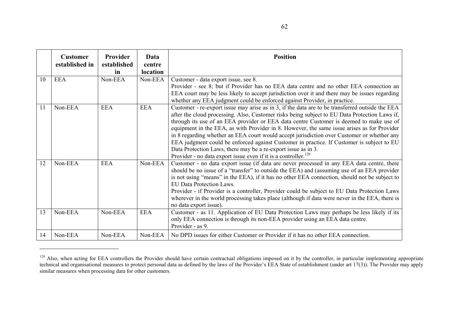|    | <b>Customer</b><br>established in | Provider<br>established<br>in | Data<br>centre<br>location | <b>Position</b>                                                                                                                                                                                                                                                                                                                                                                                                                                                                                                                                                                                                                                                                                                                      |
|----|-----------------------------------|-------------------------------|----------------------------|--------------------------------------------------------------------------------------------------------------------------------------------------------------------------------------------------------------------------------------------------------------------------------------------------------------------------------------------------------------------------------------------------------------------------------------------------------------------------------------------------------------------------------------------------------------------------------------------------------------------------------------------------------------------------------------------------------------------------------------|
| 10 | <b>EEA</b>                        | Non-EEA                       | Non-EEA                    | Customer - data export issue, see 8.<br>Provider - see 8; but if Provider has no EEA data centre and no other EEA connection an<br>EEA court may be less likely to accept jurisdiction over it and there may be issues regarding<br>whether any EEA judgment could be enforced against Provider, in practice.                                                                                                                                                                                                                                                                                                                                                                                                                        |
| 11 | Non-EEA                           | <b>EEA</b>                    | <b>EEA</b>                 | Customer - re-export issue may arise as in 3, if the data are to be transferred outside the EEA<br>after the cloud processing. Also, Customer risks being subject to EU Data Protection Laws if,<br>through its use of an EEA provider or EEA data centre Customer is deemed to make use of<br>equipment in the EEA, as with Provider in 8. However, the same issue arises as for Provider<br>in 8 regarding whether an EEA court would accept jurisdiction over Customer or whether any<br>EEA judgment could be enforced against Customer in practice. If Customer is subject to EU<br>Data Protection Laws, there may be a re-export issue as in 3.<br>Provider - no data export issue even if it is a controller. <sup>129</sup> |
| 12 | Non-EEA                           | <b>EEA</b>                    | Non-EEA                    | Customer - no data export issue (if data are never processed in any EEA data centre, there<br>should be no issue of a "transfer" to outside the EEA) and (assuming use of an EEA provider<br>is not using "means" in the EEA), if it has no other EEA connection, should not be subject to<br>EU Data Protection Laws.<br>Provider - if Provider is a controller, Provider could be subject to EU Data Protection Laws<br>wherever in the world processing takes place (although if data were never in the EEA, there is<br>no data export issue).                                                                                                                                                                                   |
| 13 | Non-EEA                           | Non-EEA                       | <b>EEA</b>                 | Customer - as 11. Application of EU Data Protection Laws may perhaps be less likely if its<br>only EEA connection is through its non-EEA provider using an EEA data centre.<br>Provider - as 9.                                                                                                                                                                                                                                                                                                                                                                                                                                                                                                                                      |
| 14 | Non-EEA                           | Non-EEA                       | Non-EEA                    | No DPD issues for either Customer or Provider if it has no other EEA connection.                                                                                                                                                                                                                                                                                                                                                                                                                                                                                                                                                                                                                                                     |

<sup>&</sup>lt;sup>129</sup> Also, when acting for EEA controllers the Provider should have certain contractual obligations imposed on it by the controller, in particular implementing appropriate technical and organisational measures to protect personal data as defined by the laws of the Provider's EEA State of establishment (under art 17(3)). The Provider may apply similar measures when processing data for other customers.

 $\overline{a}$